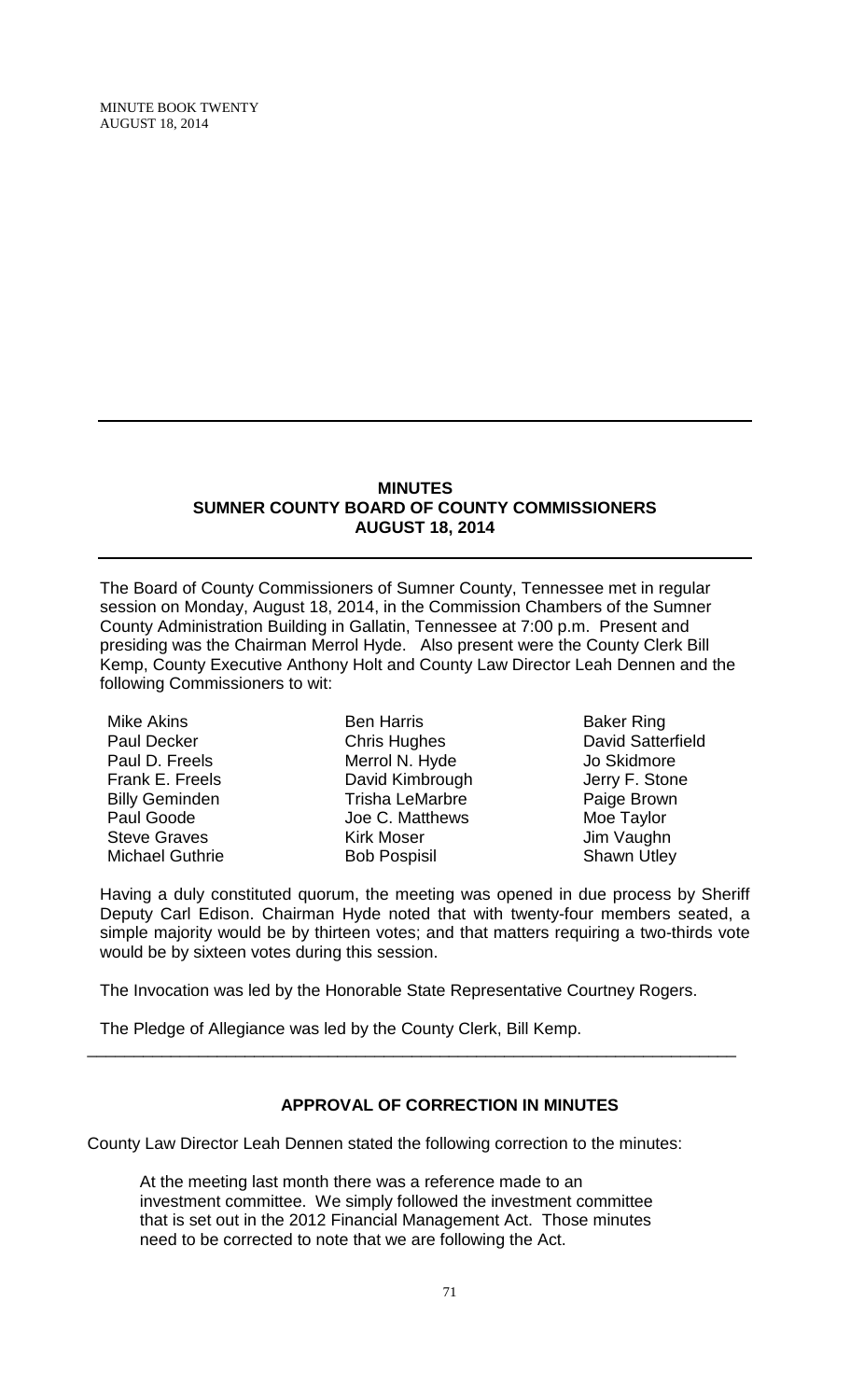MINUTE BOOK TWENTY AUGUST 18, 2014

#### **MINUTES SUMNER COUNTY BOARD OF COUNTY COMMISSIONERS AUGUST 18, 2014**

The Board of County Commissioners of Sumner County, Tennessee met in regular session on Monday, August 18, 2014, in the Commission Chambers of the Sumner County Administration Building in Gallatin, Tennessee at 7:00 p.m. Present and presiding was the Chairman Merrol Hyde. Also present were the County Clerk Bill Kemp, County Executive Anthony Holt and County Law Director Leah Dennen and the following Commissioners to wit:

Mike Akins Paul Decker Paul D. Freels Frank E. Freels Billy Geminden Paul Goode Steve Graves Michael Guthrie

Ben Harris Chris Hughes Merrol N. Hyde David Kimbrough Trisha LeMarbre Joe C. Matthews Kirk Moser Bob Pospisil

Baker Ring David Satterfield Jo Skidmore Jerry F. Stone Paige Brown Moe Taylor Jim Vaughn Shawn Utley

Having a duly constituted quorum, the meeting was opened in due process by Sheriff Deputy Carl Edison. Chairman Hyde noted that with twenty-four members seated, a simple majority would be by thirteen votes; and that matters requiring a two-thirds vote would be by sixteen votes during this session.

The Invocation was led by the Honorable State Representative Courtney Rogers.

\_\_\_\_\_\_\_\_\_\_\_\_\_\_\_\_\_\_\_\_\_\_\_\_\_\_\_\_\_\_\_\_\_\_\_\_\_\_\_\_\_\_\_\_\_\_\_\_\_\_\_\_\_\_\_\_\_\_\_\_\_\_\_\_\_\_\_\_\_\_

The Pledge of Allegiance was led by the County Clerk, Bill Kemp.

# **APPROVAL OF CORRECTION IN MINUTES**

County Law Director Leah Dennen stated the following correction to the minutes:

At the meeting last month there was a reference made to an investment committee. We simply followed the investment committee that is set out in the 2012 Financial Management Act. Those minutes need to be corrected to note that we are following the Act.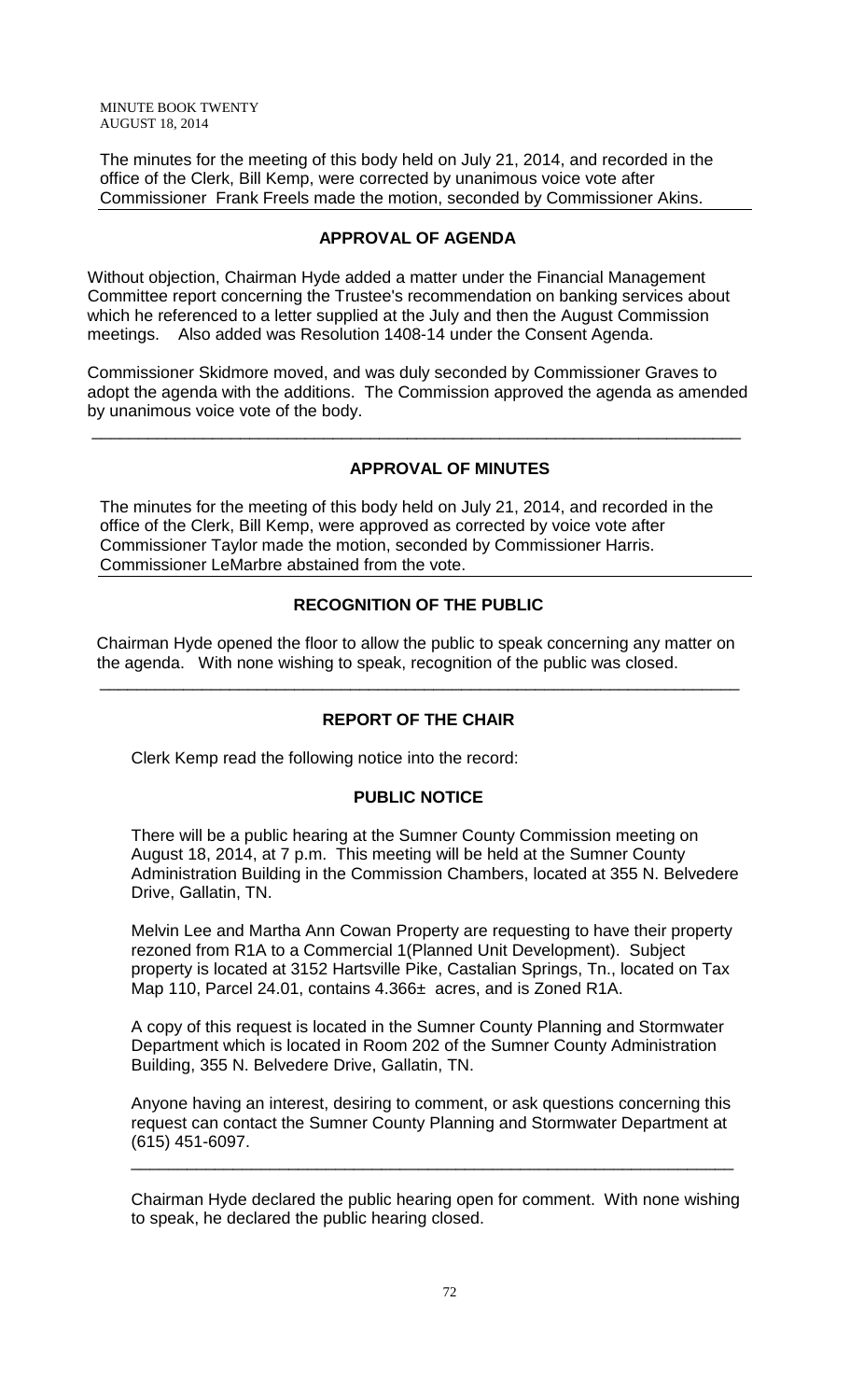MINUTE BOOK TWENTY AUGUST 18, 2014

The minutes for the meeting of this body held on July 21, 2014, and recorded in the office of the Clerk, Bill Kemp, were corrected by unanimous voice vote after Commissioner Frank Freels made the motion, seconded by Commissioner Akins.

### **APPROVAL OF AGENDA**

Without objection, Chairman Hyde added a matter under the Financial Management Committee report concerning the Trustee's recommendation on banking services about which he referenced to a letter supplied at the July and then the August Commission meetings. Also added was Resolution 1408-14 under the Consent Agenda.

Commissioner Skidmore moved, and was duly seconded by Commissioner Graves to adopt the agenda with the additions. The Commission approved the agenda as amended by unanimous voice vote of the body.

\_\_\_\_\_\_\_\_\_\_\_\_\_\_\_\_\_\_\_\_\_\_\_\_\_\_\_\_\_\_\_\_\_\_\_\_\_\_\_\_\_\_\_\_\_\_\_\_\_\_\_\_\_\_\_\_\_\_\_\_\_\_\_\_\_\_\_\_\_\_

# **APPROVAL OF MINUTES**

The minutes for the meeting of this body held on July 21, 2014, and recorded in the office of the Clerk, Bill Kemp, were approved as corrected by voice vote after Commissioner Taylor made the motion, seconded by Commissioner Harris. Commissioner LeMarbre abstained from the vote.

## **RECOGNITION OF THE PUBLIC**

 Chairman Hyde opened the floor to allow the public to speak concerning any matter on the agenda. With none wishing to speak, recognition of the public was closed.

# **REPORT OF THE CHAIR**

\_\_\_\_\_\_\_\_\_\_\_\_\_\_\_\_\_\_\_\_\_\_\_\_\_\_\_\_\_\_\_\_\_\_\_\_\_\_\_\_\_\_\_\_\_\_\_\_\_\_\_\_\_\_\_\_\_\_\_\_\_\_\_\_\_\_\_\_\_

Clerk Kemp read the following notice into the record:

# **PUBLIC NOTICE**

There will be a public hearing at the Sumner County Commission meeting on August 18, 2014, at 7 p.m. This meeting will be held at the Sumner County Administration Building in the Commission Chambers, located at 355 N. Belvedere Drive, Gallatin, TN.

Melvin Lee and Martha Ann Cowan Property are requesting to have their property rezoned from R1A to a Commercial 1(Planned Unit Development). Subject property is located at 3152 Hartsville Pike, Castalian Springs, Tn., located on Tax Map 110, Parcel 24.01, contains 4.366± acres, and is Zoned R1A.

A copy of this request is located in the Sumner County Planning and Stormwater Department which is located in Room 202 of the Sumner County Administration Building, 355 N. Belvedere Drive, Gallatin, TN.

Anyone having an interest, desiring to comment, or ask questions concerning this request can contact the Sumner County Planning and Stormwater Department at (615) 451-6097.

\_\_\_\_\_\_\_\_\_\_\_\_\_\_\_\_\_\_\_\_\_\_\_\_\_\_\_\_\_\_\_\_\_\_\_\_\_\_\_\_\_\_\_\_\_\_\_\_\_\_\_\_\_\_\_\_\_\_\_\_\_\_\_\_\_

Chairman Hyde declared the public hearing open for comment. With none wishing to speak, he declared the public hearing closed.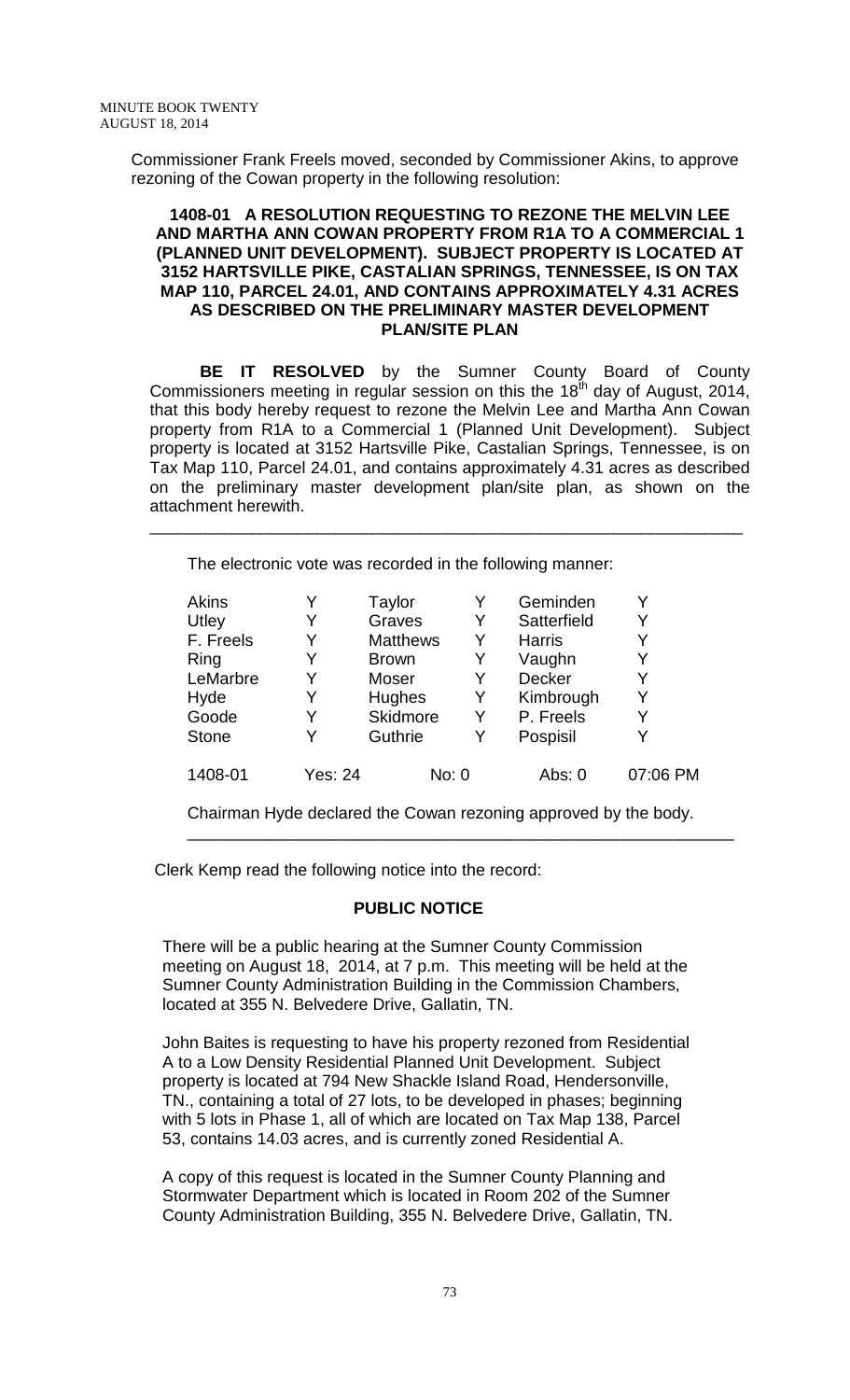Commissioner Frank Freels moved, seconded by Commissioner Akins, to approve rezoning of the Cowan property in the following resolution:

### **1408-01 A RESOLUTION REQUESTING TO REZONE THE MELVIN LEE AND MARTHA ANN COWAN PROPERTY FROM R1A TO A COMMERCIAL 1 (PLANNED UNIT DEVELOPMENT). SUBJECT PROPERTY IS LOCATED AT 3152 HARTSVILLE PIKE, CASTALIAN SPRINGS, TENNESSEE, IS ON TAX MAP 110, PARCEL 24.01, AND CONTAINS APPROXIMATELY 4.31 ACRES AS DESCRIBED ON THE PRELIMINARY MASTER DEVELOPMENT PLAN/SITE PLAN**

**BE IT RESOLVED** by the Sumner County Board of County Commissioners meeting in regular session on this the 18<sup>th</sup> day of August, 2014, that this body hereby request to rezone the Melvin Lee and Martha Ann Cowan property from R1A to a Commercial 1 (Planned Unit Development). Subject property is located at 3152 Hartsville Pike, Castalian Springs, Tennessee, is on Tax Map 110, Parcel 24.01, and contains approximately 4.31 acres as described on the preliminary master development plan/site plan, as shown on the attachment herewith.

\_\_\_\_\_\_\_\_\_\_\_\_\_\_\_\_\_\_\_\_\_\_\_\_\_\_\_\_\_\_\_\_\_\_\_\_\_\_\_\_\_\_\_\_\_\_\_\_\_\_\_\_\_\_\_\_\_\_\_\_\_\_\_\_

The electronic vote was recorded in the following manner:

| <b>Akins</b> |                | <b>Taylor</b>   | Y     | Geminden      | Y        |
|--------------|----------------|-----------------|-------|---------------|----------|
| Utley        | Y              | Graves          | Y     | Satterfield   | Y        |
| F. Freels    | Y              | <b>Matthews</b> | Y     | <b>Harris</b> | Y        |
| Ring         | Y              | <b>Brown</b>    | Y     | Vaughn        | Y        |
| LeMarbre     | Y              | <b>Moser</b>    | Y     | Decker        | Y        |
| Hyde         | Y              | Hughes          | Y     | Kimbrough     | Y        |
| Goode        | Y              | <b>Skidmore</b> | Y     | P. Freels     | Y        |
| <b>Stone</b> | Y              | Guthrie         | Y     | Pospisil      | Υ        |
| 1408-01      | <b>Yes: 24</b> |                 | No: 0 | Abs: $0$      | 07:06 PM |

Chairman Hyde declared the Cowan rezoning approved by the body.

\_\_\_\_\_\_\_\_\_\_\_\_\_\_\_\_\_\_\_\_\_\_\_\_\_\_\_\_\_\_\_\_\_\_\_\_\_\_\_\_\_\_\_\_\_\_\_\_\_\_\_\_\_\_\_\_\_\_\_

Clerk Kemp read the following notice into the record:

### **PUBLIC NOTICE**

There will be a public hearing at the Sumner County Commission meeting on August 18, 2014, at 7 p.m. This meeting will be held at the Sumner County Administration Building in the Commission Chambers, located at 355 N. Belvedere Drive, Gallatin, TN.

John Baites is requesting to have his property rezoned from Residential A to a Low Density Residential Planned Unit Development. Subject property is located at 794 New Shackle Island Road, Hendersonville, TN., containing a total of 27 lots, to be developed in phases; beginning with 5 lots in Phase 1, all of which are located on Tax Map 138, Parcel 53, contains 14.03 acres, and is currently zoned Residential A.

A copy of this request is located in the Sumner County Planning and Stormwater Department which is located in Room 202 of the Sumner County Administration Building, 355 N. Belvedere Drive, Gallatin, TN.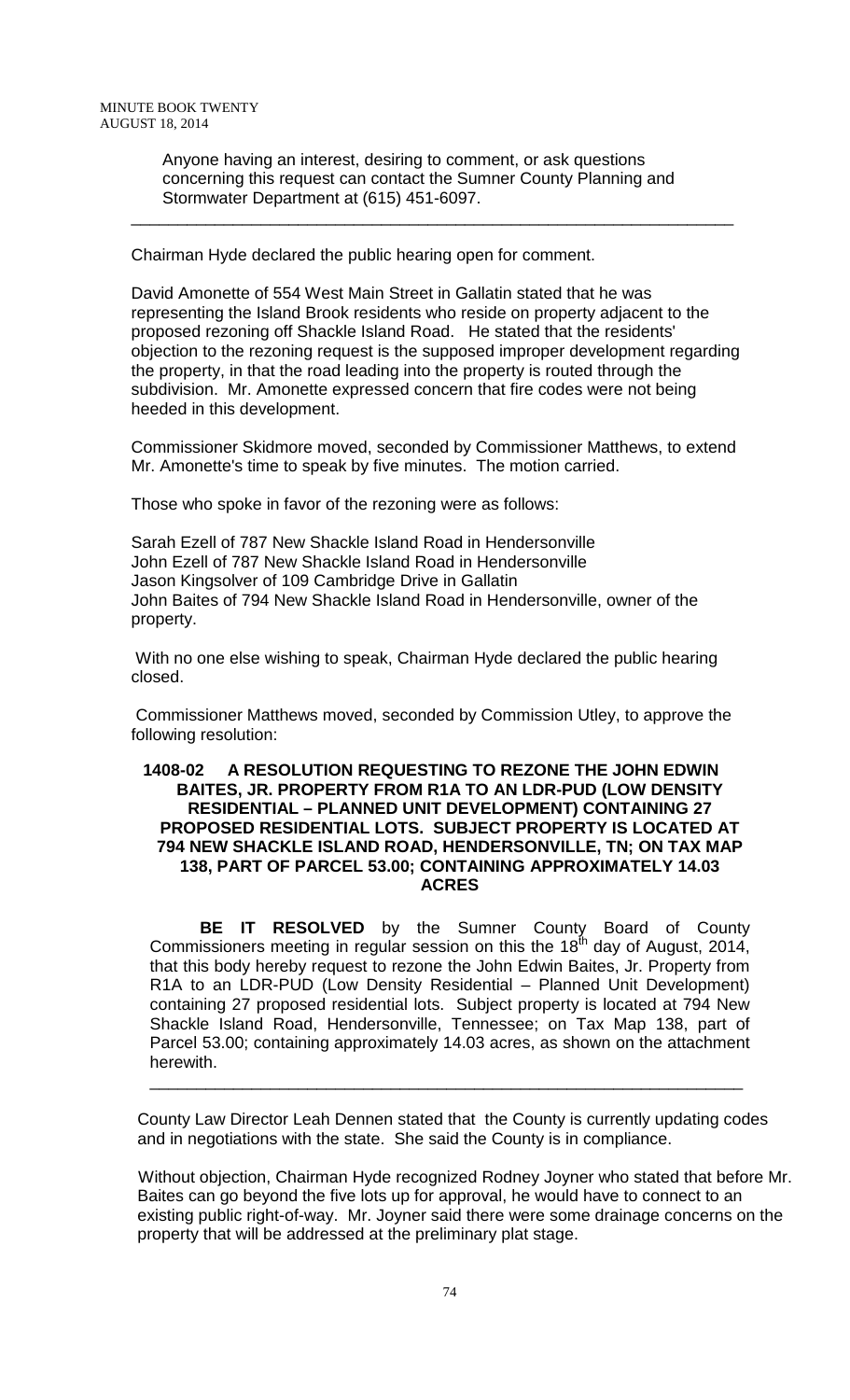Anyone having an interest, desiring to comment, or ask questions concerning this request can contact the Sumner County Planning and Stormwater Department at (615) 451-6097.

\_\_\_\_\_\_\_\_\_\_\_\_\_\_\_\_\_\_\_\_\_\_\_\_\_\_\_\_\_\_\_\_\_\_\_\_\_\_\_\_\_\_\_\_\_\_\_\_\_\_\_\_\_\_\_\_\_\_\_\_\_\_\_\_\_

Chairman Hyde declared the public hearing open for comment.

David Amonette of 554 West Main Street in Gallatin stated that he was representing the Island Brook residents who reside on property adjacent to the proposed rezoning off Shackle Island Road. He stated that the residents' objection to the rezoning request is the supposed improper development regarding the property, in that the road leading into the property is routed through the subdivision. Mr. Amonette expressed concern that fire codes were not being heeded in this development.

Commissioner Skidmore moved, seconded by Commissioner Matthews, to extend Mr. Amonette's time to speak by five minutes. The motion carried.

Those who spoke in favor of the rezoning were as follows:

Sarah Ezell of 787 New Shackle Island Road in Hendersonville John Ezell of 787 New Shackle Island Road in Hendersonville Jason Kingsolver of 109 Cambridge Drive in Gallatin John Baites of 794 New Shackle Island Road in Hendersonville, owner of the property.

With no one else wishing to speak, Chairman Hyde declared the public hearing closed.

Commissioner Matthews moved, seconded by Commission Utley, to approve the following resolution:

### **1408-02 A RESOLUTION REQUESTING TO REZONE THE JOHN EDWIN BAITES, JR. PROPERTY FROM R1A TO AN LDR-PUD (LOW DENSITY RESIDENTIAL – PLANNED UNIT DEVELOPMENT) CONTAINING 27 PROPOSED RESIDENTIAL LOTS. SUBJECT PROPERTY IS LOCATED AT 794 NEW SHACKLE ISLAND ROAD, HENDERSONVILLE, TN; ON TAX MAP 138, PART OF PARCEL 53.00; CONTAINING APPROXIMATELY 14.03 ACRES**

**BE IT RESOLVED** by the Sumner County Board of County Commissioners meeting in regular session on this the 18<sup>th</sup> day of August, 2014, that this body hereby request to rezone the John Edwin Baites, Jr. Property from R1A to an LDR-PUD (Low Density Residential – Planned Unit Development) containing 27 proposed residential lots. Subject property is located at 794 New Shackle Island Road, Hendersonville, Tennessee; on Tax Map 138, part of Parcel 53.00; containing approximately 14.03 acres, as shown on the attachment herewith.

County Law Director Leah Dennen stated that the County is currently updating codes and in negotiations with the state. She said the County is in compliance.

\_\_\_\_\_\_\_\_\_\_\_\_\_\_\_\_\_\_\_\_\_\_\_\_\_\_\_\_\_\_\_\_\_\_\_\_\_\_\_\_\_\_\_\_\_\_\_\_\_\_\_\_\_\_\_\_\_\_\_\_\_\_\_\_

 Without objection, Chairman Hyde recognized Rodney Joyner who stated that before Mr. Baites can go beyond the five lots up for approval, he would have to connect to an existing public right-of-way. Mr. Joyner said there were some drainage concerns on the property that will be addressed at the preliminary plat stage.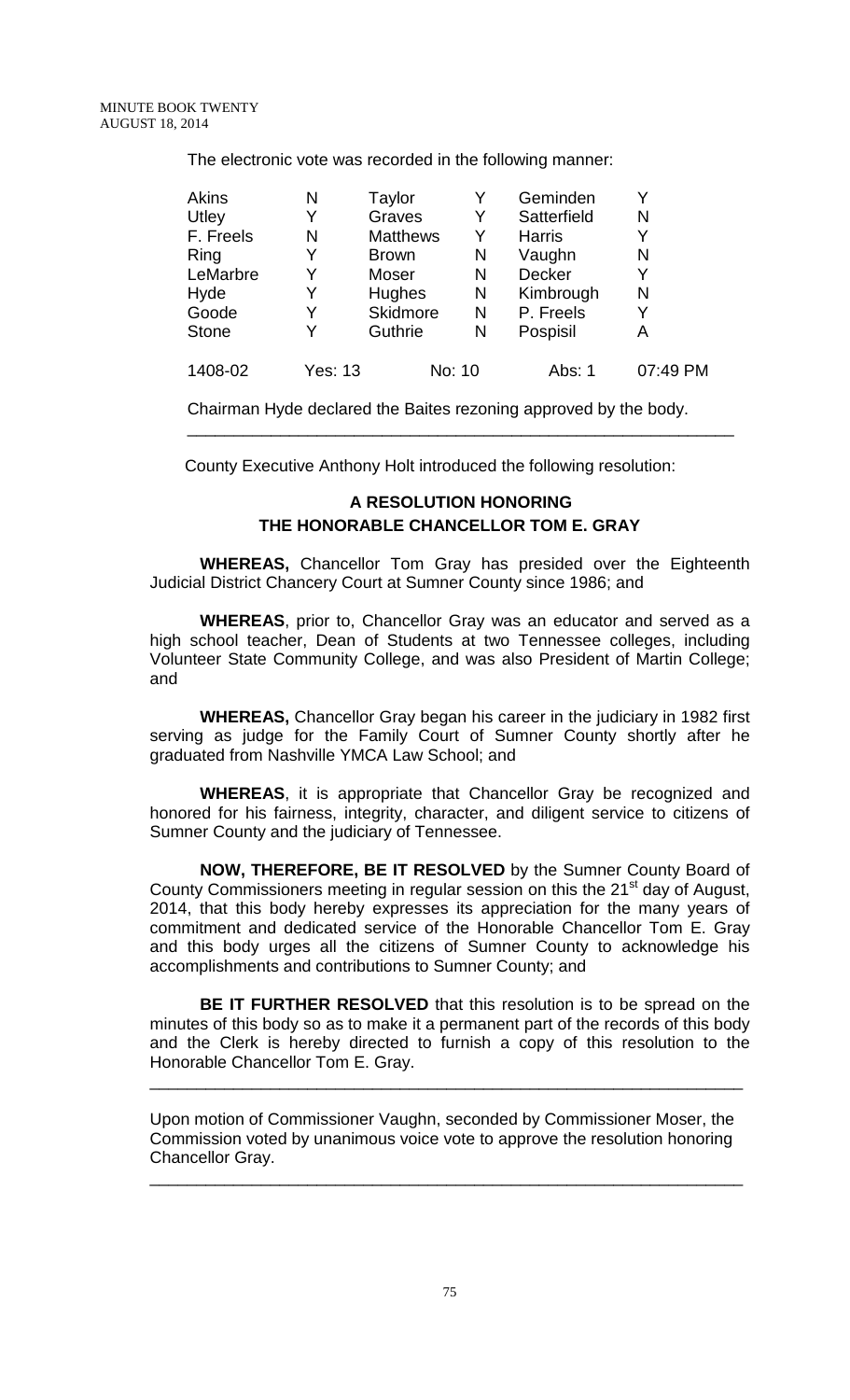The electronic vote was recorded in the following manner:

| <b>Akins</b> | N              | Taylor          |        | Geminden      |          |
|--------------|----------------|-----------------|--------|---------------|----------|
| Utley        | Y              | Graves          | Y      | Satterfield   | N        |
| F. Freels    | N              | <b>Matthews</b> | Y      | <b>Harris</b> |          |
| Ring         | Y              | <b>Brown</b>    | N      | Vaughn        | N        |
| LeMarbre     | Y              | Moser           | N      | Decker        |          |
| Hyde         | Y              | Hughes          | N      | Kimbrough     | N        |
| Goode        | Y              | Skidmore        | N      | P. Freels     |          |
| <b>Stone</b> | Y              | Guthrie         | N      | Pospisil      | A        |
| 1408-02      | <b>Yes: 13</b> |                 | No: 10 | Abs: 1        | 07:49 PM |

Chairman Hyde declared the Baites rezoning approved by the body.

\_\_\_\_\_\_\_\_\_\_\_\_\_\_\_\_\_\_\_\_\_\_\_\_\_\_\_\_\_\_\_\_\_\_\_\_\_\_\_\_\_\_\_\_\_\_\_\_\_\_\_\_\_\_\_\_\_\_\_

County Executive Anthony Holt introduced the following resolution:

# **A RESOLUTION HONORING THE HONORABLE CHANCELLOR TOM E. GRAY**

**WHEREAS,** Chancellor Tom Gray has presided over the Eighteenth Judicial District Chancery Court at Sumner County since 1986; and

**WHEREAS**, prior to, Chancellor Gray was an educator and served as a high school teacher, Dean of Students at two Tennessee colleges, including Volunteer State Community College, and was also President of Martin College; and

**WHEREAS,** Chancellor Gray began his career in the judiciary in 1982 first serving as judge for the Family Court of Sumner County shortly after he graduated from Nashville YMCA Law School; and

**WHEREAS**, it is appropriate that Chancellor Gray be recognized and honored for his fairness, integrity, character, and diligent service to citizens of Sumner County and the judiciary of Tennessee.

**NOW, THEREFORE, BE IT RESOLVED** by the Sumner County Board of County Commissioners meeting in regular session on this the 21<sup>st</sup> day of August, 2014, that this body hereby expresses its appreciation for the many years of commitment and dedicated service of the Honorable Chancellor Tom E. Gray and this body urges all the citizens of Sumner County to acknowledge his accomplishments and contributions to Sumner County; and

**BE IT FURTHER RESOLVED** that this resolution is to be spread on the minutes of this body so as to make it a permanent part of the records of this body and the Clerk is hereby directed to furnish a copy of this resolution to the Honorable Chancellor Tom E. Gray.

Upon motion of Commissioner Vaughn, seconded by Commissioner Moser, the Commission voted by unanimous voice vote to approve the resolution honoring Chancellor Gray.

\_\_\_\_\_\_\_\_\_\_\_\_\_\_\_\_\_\_\_\_\_\_\_\_\_\_\_\_\_\_\_\_\_\_\_\_\_\_\_\_\_\_\_\_\_\_\_\_\_\_\_\_\_\_\_\_\_\_\_\_\_\_\_\_

\_\_\_\_\_\_\_\_\_\_\_\_\_\_\_\_\_\_\_\_\_\_\_\_\_\_\_\_\_\_\_\_\_\_\_\_\_\_\_\_\_\_\_\_\_\_\_\_\_\_\_\_\_\_\_\_\_\_\_\_\_\_\_\_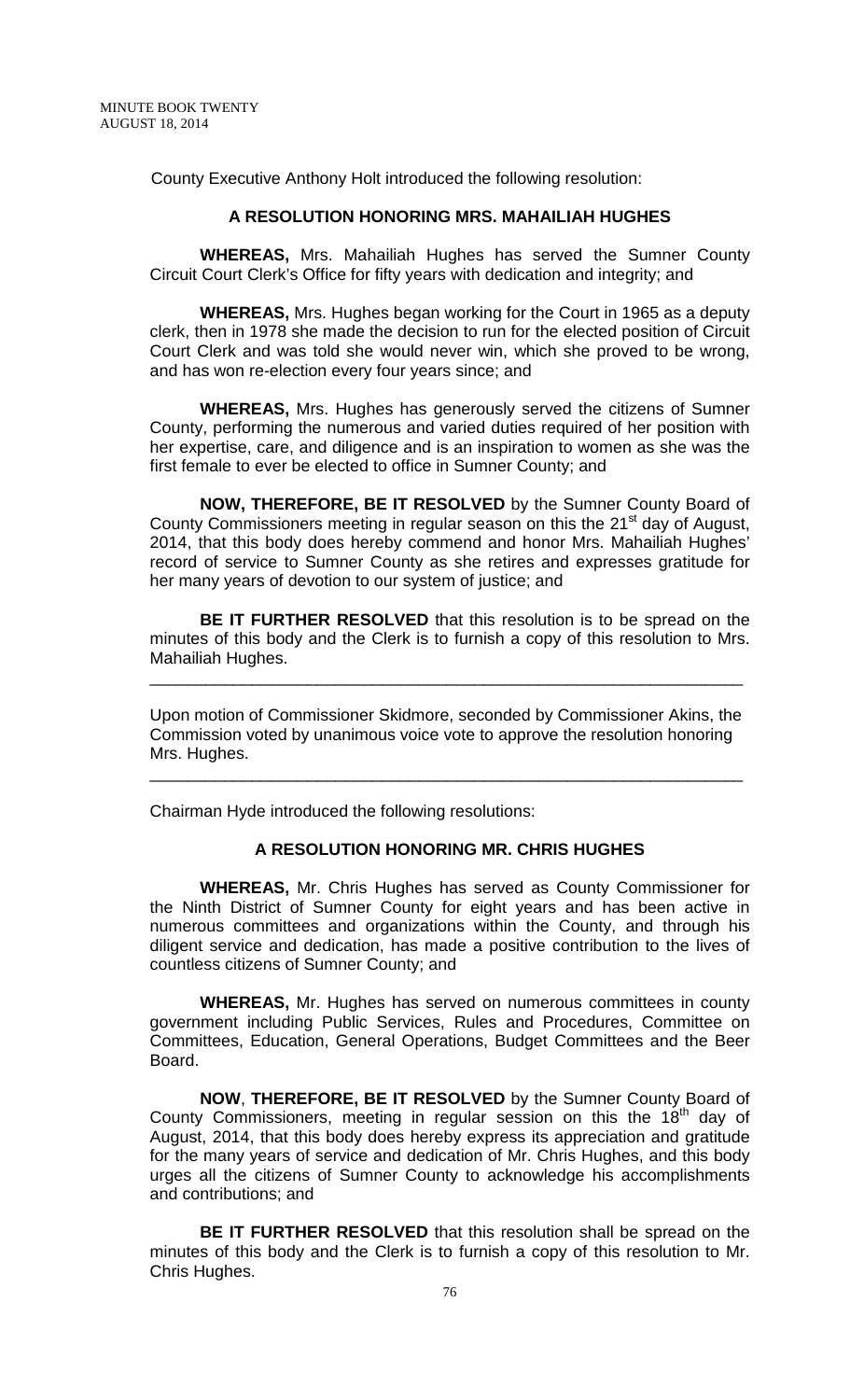County Executive Anthony Holt introduced the following resolution:

#### **A RESOLUTION HONORING MRS. MAHAILIAH HUGHES**

**WHEREAS,** Mrs. Mahailiah Hughes has served the Sumner County Circuit Court Clerk's Office for fifty years with dedication and integrity; and

**WHEREAS,** Mrs. Hughes began working for the Court in 1965 as a deputy clerk, then in 1978 she made the decision to run for the elected position of Circuit Court Clerk and was told she would never win, which she proved to be wrong, and has won re-election every four years since; and

**WHEREAS,** Mrs. Hughes has generously served the citizens of Sumner County, performing the numerous and varied duties required of her position with her expertise, care, and diligence and is an inspiration to women as she was the first female to ever be elected to office in Sumner County; and

**NOW, THEREFORE, BE IT RESOLVED** by the Sumner County Board of County Commissioners meeting in regular season on this the 21<sup>st</sup> day of August, 2014, that this body does hereby commend and honor Mrs. Mahailiah Hughes' record of service to Sumner County as she retires and expresses gratitude for her many years of devotion to our system of justice; and

**BE IT FURTHER RESOLVED** that this resolution is to be spread on the minutes of this body and the Clerk is to furnish a copy of this resolution to Mrs. Mahailiah Hughes.

Upon motion of Commissioner Skidmore, seconded by Commissioner Akins, the Commission voted by unanimous voice vote to approve the resolution honoring Mrs. Hughes.

\_\_\_\_\_\_\_\_\_\_\_\_\_\_\_\_\_\_\_\_\_\_\_\_\_\_\_\_\_\_\_\_\_\_\_\_\_\_\_\_\_\_\_\_\_\_\_\_\_\_\_\_\_\_\_\_\_\_\_\_\_\_\_\_

\_\_\_\_\_\_\_\_\_\_\_\_\_\_\_\_\_\_\_\_\_\_\_\_\_\_\_\_\_\_\_\_\_\_\_\_\_\_\_\_\_\_\_\_\_\_\_\_\_\_\_\_\_\_\_\_\_\_\_\_\_\_\_\_

Chairman Hyde introduced the following resolutions:

### **A RESOLUTION HONORING MR. CHRIS HUGHES**

**WHEREAS,** Mr. Chris Hughes has served as County Commissioner for the Ninth District of Sumner County for eight years and has been active in numerous committees and organizations within the County, and through his diligent service and dedication, has made a positive contribution to the lives of countless citizens of Sumner County; and

**WHEREAS,** Mr. Hughes has served on numerous committees in county government including Public Services, Rules and Procedures, Committee on Committees, Education, General Operations, Budget Committees and the Beer Board.

**NOW**, **THEREFORE, BE IT RESOLVED** by the Sumner County Board of County Commissioners, meeting in regular session on this the  $18<sup>th</sup>$  day of August, 2014, that this body does hereby express its appreciation and gratitude for the many years of service and dedication of Mr. Chris Hughes, and this body urges all the citizens of Sumner County to acknowledge his accomplishments and contributions; and

**BE IT FURTHER RESOLVED** that this resolution shall be spread on the minutes of this body and the Clerk is to furnish a copy of this resolution to Mr. Chris Hughes.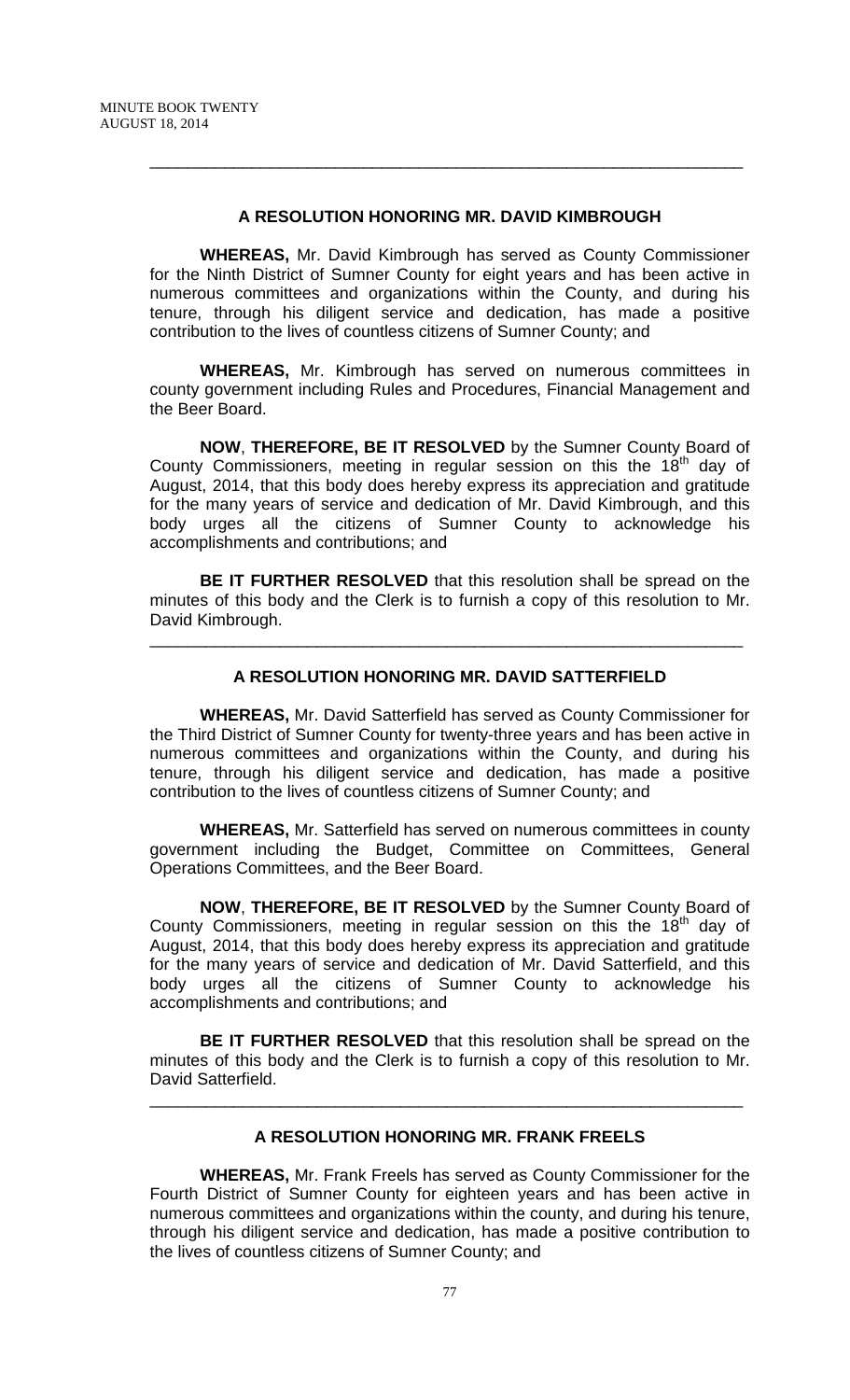#### **A RESOLUTION HONORING MR. DAVID KIMBROUGH**

\_\_\_\_\_\_\_\_\_\_\_\_\_\_\_\_\_\_\_\_\_\_\_\_\_\_\_\_\_\_\_\_\_\_\_\_\_\_\_\_\_\_\_\_\_\_\_\_\_\_\_\_\_\_\_\_\_\_\_\_\_\_\_\_

**WHEREAS,** Mr. David Kimbrough has served as County Commissioner for the Ninth District of Sumner County for eight years and has been active in numerous committees and organizations within the County, and during his tenure, through his diligent service and dedication, has made a positive contribution to the lives of countless citizens of Sumner County; and

**WHEREAS,** Mr. Kimbrough has served on numerous committees in county government including Rules and Procedures, Financial Management and the Beer Board.

**NOW**, **THEREFORE, BE IT RESOLVED** by the Sumner County Board of County Commissioners, meeting in regular session on this the  $18<sup>th</sup>$  day of August, 2014, that this body does hereby express its appreciation and gratitude for the many years of service and dedication of Mr. David Kimbrough, and this body urges all the citizens of Sumner County to acknowledge his accomplishments and contributions; and

**BE IT FURTHER RESOLVED** that this resolution shall be spread on the minutes of this body and the Clerk is to furnish a copy of this resolution to Mr. David Kimbrough.

\_\_\_\_\_\_\_\_\_\_\_\_\_\_\_\_\_\_\_\_\_\_\_\_\_\_\_\_\_\_\_\_\_\_\_\_\_\_\_\_\_\_\_\_\_\_\_\_\_\_\_\_\_\_\_\_\_\_\_\_\_\_\_\_

## **A RESOLUTION HONORING MR. DAVID SATTERFIELD**

**WHEREAS,** Mr. David Satterfield has served as County Commissioner for the Third District of Sumner County for twenty-three years and has been active in numerous committees and organizations within the County, and during his tenure, through his diligent service and dedication, has made a positive contribution to the lives of countless citizens of Sumner County; and

**WHEREAS,** Mr. Satterfield has served on numerous committees in county government including the Budget, Committee on Committees, General Operations Committees, and the Beer Board.

**NOW**, **THEREFORE, BE IT RESOLVED** by the Sumner County Board of County Commissioners, meeting in regular session on this the 18<sup>th</sup> day of August, 2014, that this body does hereby express its appreciation and gratitude for the many years of service and dedication of Mr. David Satterfield, and this body urges all the citizens of Sumner County to acknowledge his accomplishments and contributions; and

**BE IT FURTHER RESOLVED** that this resolution shall be spread on the minutes of this body and the Clerk is to furnish a copy of this resolution to Mr. David Satterfield.

\_\_\_\_\_\_\_\_\_\_\_\_\_\_\_\_\_\_\_\_\_\_\_\_\_\_\_\_\_\_\_\_\_\_\_\_\_\_\_\_\_\_\_\_\_\_\_\_\_\_\_\_\_\_\_\_\_\_\_\_\_\_\_\_

## **A RESOLUTION HONORING MR. FRANK FREELS**

**WHEREAS,** Mr. Frank Freels has served as County Commissioner for the Fourth District of Sumner County for eighteen years and has been active in numerous committees and organizations within the county, and during his tenure, through his diligent service and dedication, has made a positive contribution to the lives of countless citizens of Sumner County; and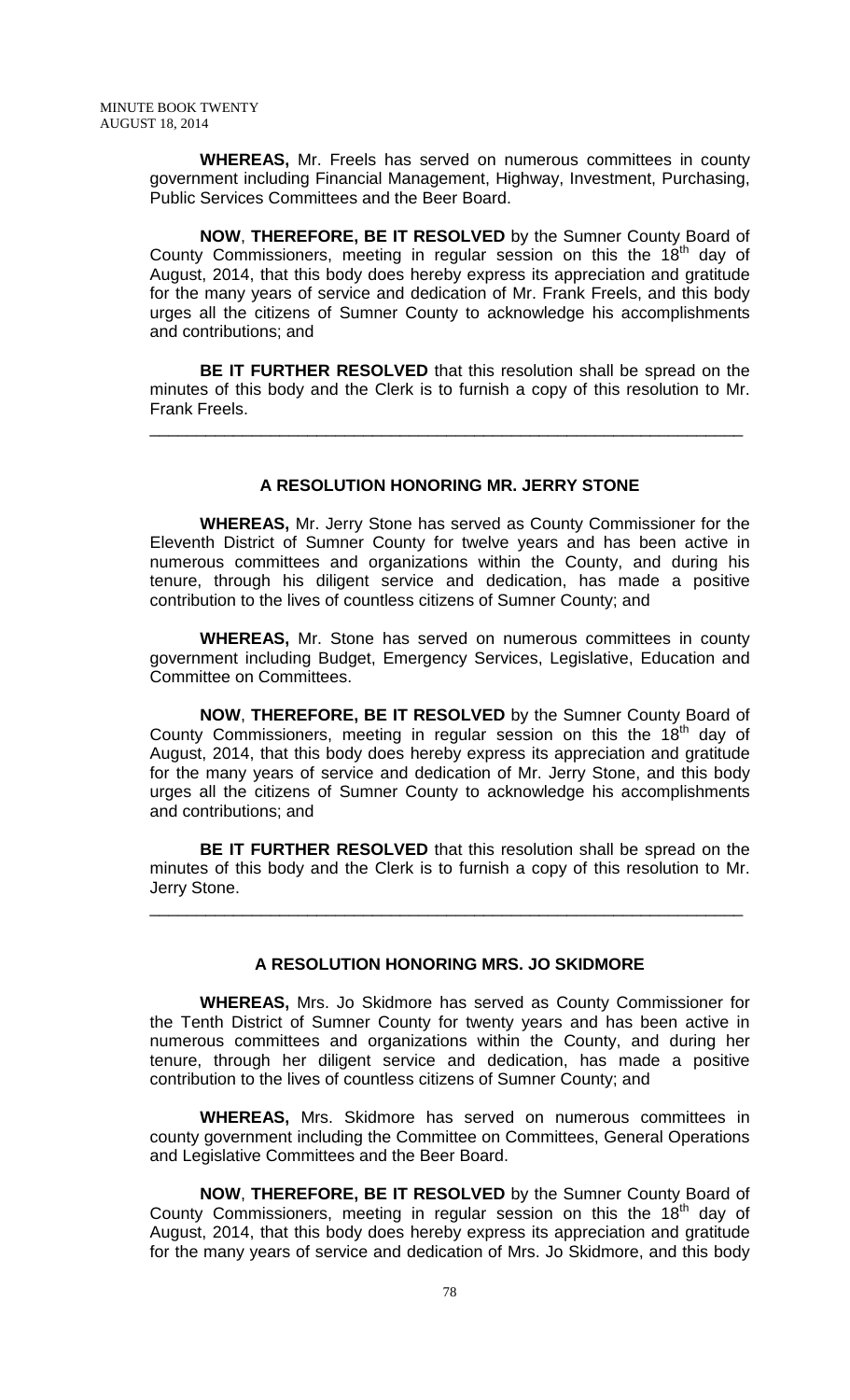**WHEREAS,** Mr. Freels has served on numerous committees in county government including Financial Management, Highway, Investment, Purchasing, Public Services Committees and the Beer Board.

**NOW**, **THEREFORE, BE IT RESOLVED** by the Sumner County Board of County Commissioners, meeting in regular session on this the 18<sup>th</sup> day of August, 2014, that this body does hereby express its appreciation and gratitude for the many years of service and dedication of Mr. Frank Freels, and this body urges all the citizens of Sumner County to acknowledge his accomplishments and contributions; and

**BE IT FURTHER RESOLVED** that this resolution shall be spread on the minutes of this body and the Clerk is to furnish a copy of this resolution to Mr. Frank Freels.

\_\_\_\_\_\_\_\_\_\_\_\_\_\_\_\_\_\_\_\_\_\_\_\_\_\_\_\_\_\_\_\_\_\_\_\_\_\_\_\_\_\_\_\_\_\_\_\_\_\_\_\_\_\_\_\_\_\_\_\_\_\_\_\_

## **A RESOLUTION HONORING MR. JERRY STONE**

**WHEREAS,** Mr. Jerry Stone has served as County Commissioner for the Eleventh District of Sumner County for twelve years and has been active in numerous committees and organizations within the County, and during his tenure, through his diligent service and dedication, has made a positive contribution to the lives of countless citizens of Sumner County; and

**WHEREAS,** Mr. Stone has served on numerous committees in county government including Budget, Emergency Services, Legislative, Education and Committee on Committees.

**NOW**, **THEREFORE, BE IT RESOLVED** by the Sumner County Board of County Commissioners, meeting in regular session on this the 18<sup>th</sup> day of August, 2014, that this body does hereby express its appreciation and gratitude for the many years of service and dedication of Mr. Jerry Stone, and this body urges all the citizens of Sumner County to acknowledge his accomplishments and contributions; and

**BE IT FURTHER RESOLVED** that this resolution shall be spread on the minutes of this body and the Clerk is to furnish a copy of this resolution to Mr. Jerry Stone.

\_\_\_\_\_\_\_\_\_\_\_\_\_\_\_\_\_\_\_\_\_\_\_\_\_\_\_\_\_\_\_\_\_\_\_\_\_\_\_\_\_\_\_\_\_\_\_\_\_\_\_\_\_\_\_\_\_\_\_\_\_\_\_\_

### **A RESOLUTION HONORING MRS. JO SKIDMORE**

**WHEREAS,** Mrs. Jo Skidmore has served as County Commissioner for the Tenth District of Sumner County for twenty years and has been active in numerous committees and organizations within the County, and during her tenure, through her diligent service and dedication, has made a positive contribution to the lives of countless citizens of Sumner County; and

**WHEREAS,** Mrs. Skidmore has served on numerous committees in county government including the Committee on Committees, General Operations and Legislative Committees and the Beer Board.

**NOW**, **THEREFORE, BE IT RESOLVED** by the Sumner County Board of County Commissioners, meeting in regular session on this the 18<sup>th</sup> day of August, 2014, that this body does hereby express its appreciation and gratitude for the many years of service and dedication of Mrs. Jo Skidmore, and this body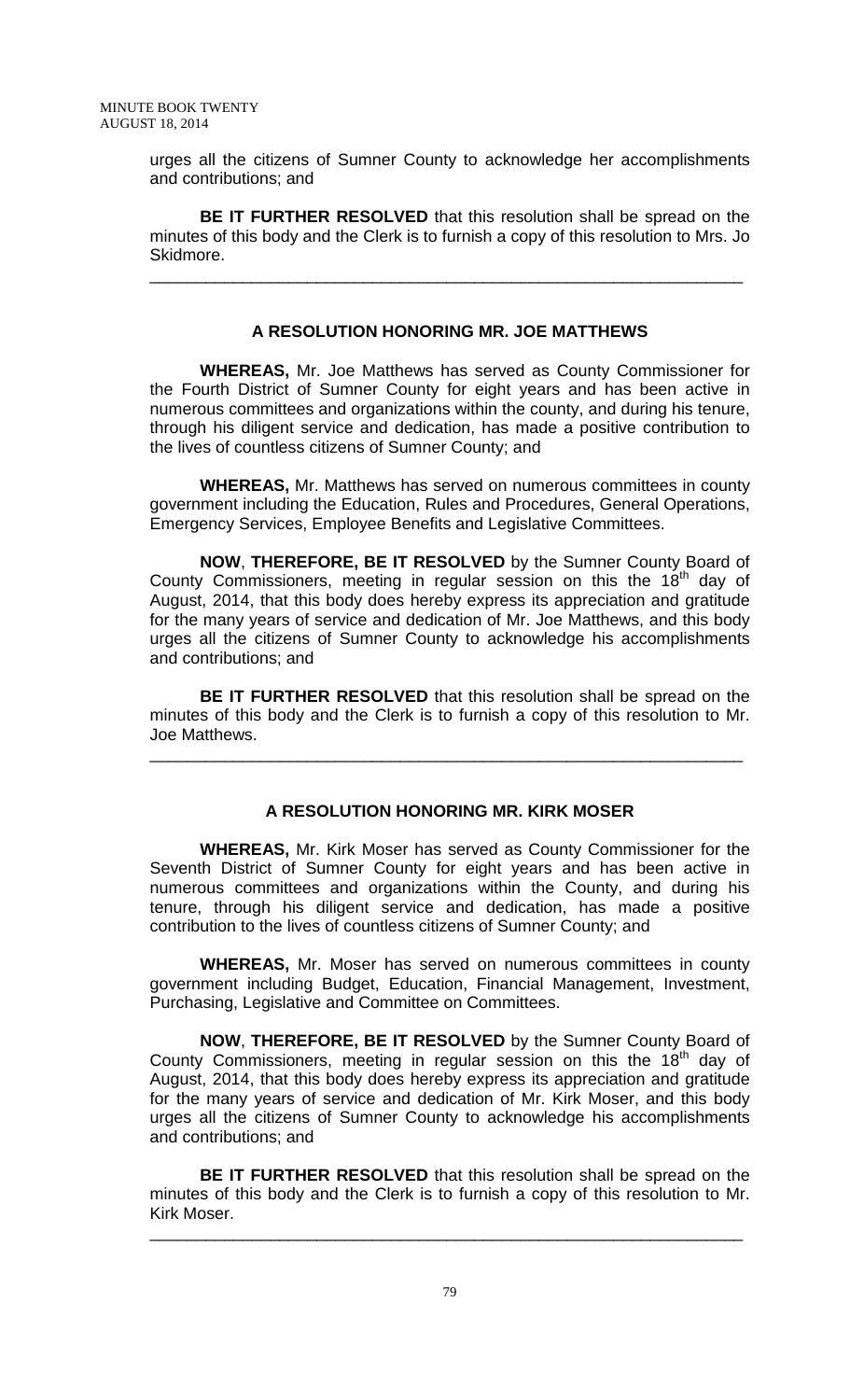urges all the citizens of Sumner County to acknowledge her accomplishments and contributions; and

**BE IT FURTHER RESOLVED** that this resolution shall be spread on the minutes of this body and the Clerk is to furnish a copy of this resolution to Mrs. Jo Skidmore.

\_\_\_\_\_\_\_\_\_\_\_\_\_\_\_\_\_\_\_\_\_\_\_\_\_\_\_\_\_\_\_\_\_\_\_\_\_\_\_\_\_\_\_\_\_\_\_\_\_\_\_\_\_\_\_\_\_\_\_\_\_\_\_\_

## **A RESOLUTION HONORING MR. JOE MATTHEWS**

**WHEREAS,** Mr. Joe Matthews has served as County Commissioner for the Fourth District of Sumner County for eight years and has been active in numerous committees and organizations within the county, and during his tenure, through his diligent service and dedication, has made a positive contribution to the lives of countless citizens of Sumner County; and

**WHEREAS,** Mr. Matthews has served on numerous committees in county government including the Education, Rules and Procedures, General Operations, Emergency Services, Employee Benefits and Legislative Committees.

**NOW**, **THEREFORE, BE IT RESOLVED** by the Sumner County Board of County Commissioners, meeting in regular session on this the  $18<sup>th</sup>$  day of August, 2014, that this body does hereby express its appreciation and gratitude for the many years of service and dedication of Mr. Joe Matthews, and this body urges all the citizens of Sumner County to acknowledge his accomplishments and contributions; and

**BE IT FURTHER RESOLVED** that this resolution shall be spread on the minutes of this body and the Clerk is to furnish a copy of this resolution to Mr. Joe Matthews.

\_\_\_\_\_\_\_\_\_\_\_\_\_\_\_\_\_\_\_\_\_\_\_\_\_\_\_\_\_\_\_\_\_\_\_\_\_\_\_\_\_\_\_\_\_\_\_\_\_\_\_\_\_\_\_\_\_\_\_\_\_\_\_\_

# **A RESOLUTION HONORING MR. KIRK MOSER**

**WHEREAS,** Mr. Kirk Moser has served as County Commissioner for the Seventh District of Sumner County for eight years and has been active in numerous committees and organizations within the County, and during his tenure, through his diligent service and dedication, has made a positive contribution to the lives of countless citizens of Sumner County; and

**WHEREAS,** Mr. Moser has served on numerous committees in county government including Budget, Education, Financial Management, Investment, Purchasing, Legislative and Committee on Committees.

**NOW**, **THEREFORE, BE IT RESOLVED** by the Sumner County Board of County Commissioners, meeting in regular session on this the  $18<sup>th</sup>$  day of August, 2014, that this body does hereby express its appreciation and gratitude for the many years of service and dedication of Mr. Kirk Moser, and this body urges all the citizens of Sumner County to acknowledge his accomplishments and contributions; and

**BE IT FURTHER RESOLVED** that this resolution shall be spread on the minutes of this body and the Clerk is to furnish a copy of this resolution to Mr. Kirk Moser.

\_\_\_\_\_\_\_\_\_\_\_\_\_\_\_\_\_\_\_\_\_\_\_\_\_\_\_\_\_\_\_\_\_\_\_\_\_\_\_\_\_\_\_\_\_\_\_\_\_\_\_\_\_\_\_\_\_\_\_\_\_\_\_\_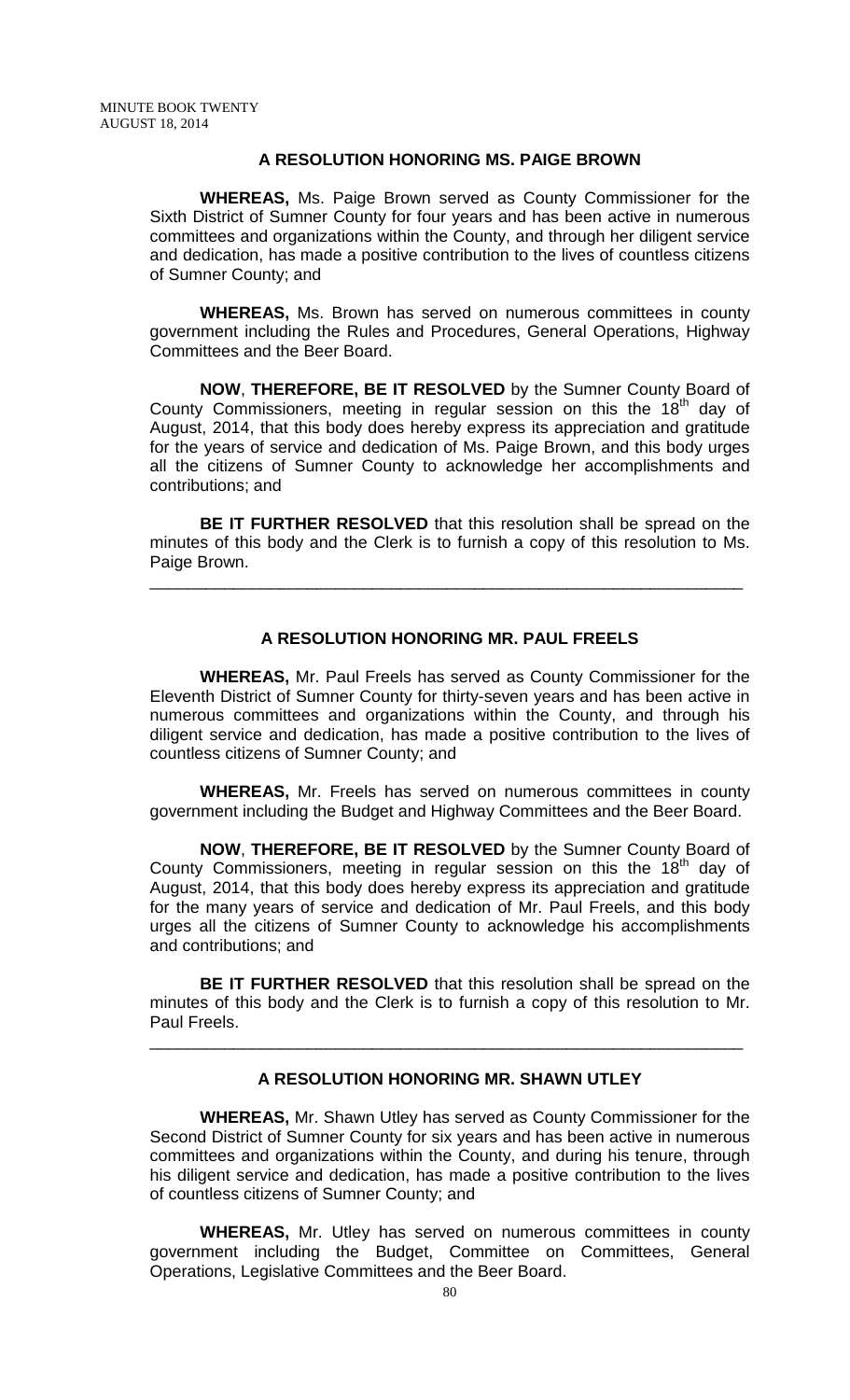## **A RESOLUTION HONORING MS. PAIGE BROWN**

**WHEREAS,** Ms. Paige Brown served as County Commissioner for the Sixth District of Sumner County for four years and has been active in numerous committees and organizations within the County, and through her diligent service and dedication, has made a positive contribution to the lives of countless citizens of Sumner County; and

**WHEREAS,** Ms. Brown has served on numerous committees in county government including the Rules and Procedures, General Operations, Highway Committees and the Beer Board.

**NOW**, **THEREFORE, BE IT RESOLVED** by the Sumner County Board of County Commissioners, meeting in regular session on this the  $18<sup>th</sup>$  day of August, 2014, that this body does hereby express its appreciation and gratitude for the years of service and dedication of Ms. Paige Brown, and this body urges all the citizens of Sumner County to acknowledge her accomplishments and contributions; and

**BE IT FURTHER RESOLVED** that this resolution shall be spread on the minutes of this body and the Clerk is to furnish a copy of this resolution to Ms. Paige Brown.

\_\_\_\_\_\_\_\_\_\_\_\_\_\_\_\_\_\_\_\_\_\_\_\_\_\_\_\_\_\_\_\_\_\_\_\_\_\_\_\_\_\_\_\_\_\_\_\_\_\_\_\_\_\_\_\_\_\_\_\_\_\_\_\_

## **A RESOLUTION HONORING MR. PAUL FREELS**

**WHEREAS,** Mr. Paul Freels has served as County Commissioner for the Eleventh District of Sumner County for thirty-seven years and has been active in numerous committees and organizations within the County, and through his diligent service and dedication, has made a positive contribution to the lives of countless citizens of Sumner County; and

**WHEREAS,** Mr. Freels has served on numerous committees in county government including the Budget and Highway Committees and the Beer Board.

**NOW**, **THEREFORE, BE IT RESOLVED** by the Sumner County Board of County Commissioners, meeting in regular session on this the  $18<sup>th</sup>$  day of August, 2014, that this body does hereby express its appreciation and gratitude for the many years of service and dedication of Mr. Paul Freels, and this body urges all the citizens of Sumner County to acknowledge his accomplishments and contributions; and

**BE IT FURTHER RESOLVED** that this resolution shall be spread on the minutes of this body and the Clerk is to furnish a copy of this resolution to Mr. Paul Freels.

\_\_\_\_\_\_\_\_\_\_\_\_\_\_\_\_\_\_\_\_\_\_\_\_\_\_\_\_\_\_\_\_\_\_\_\_\_\_\_\_\_\_\_\_\_\_\_\_\_\_\_\_\_\_\_\_\_\_\_\_\_\_\_\_

### **A RESOLUTION HONORING MR. SHAWN UTLEY**

**WHEREAS,** Mr. Shawn Utley has served as County Commissioner for the Second District of Sumner County for six years and has been active in numerous committees and organizations within the County, and during his tenure, through his diligent service and dedication, has made a positive contribution to the lives of countless citizens of Sumner County; and

**WHEREAS,** Mr. Utley has served on numerous committees in county government including the Budget, Committee on Committees, General Operations, Legislative Committees and the Beer Board.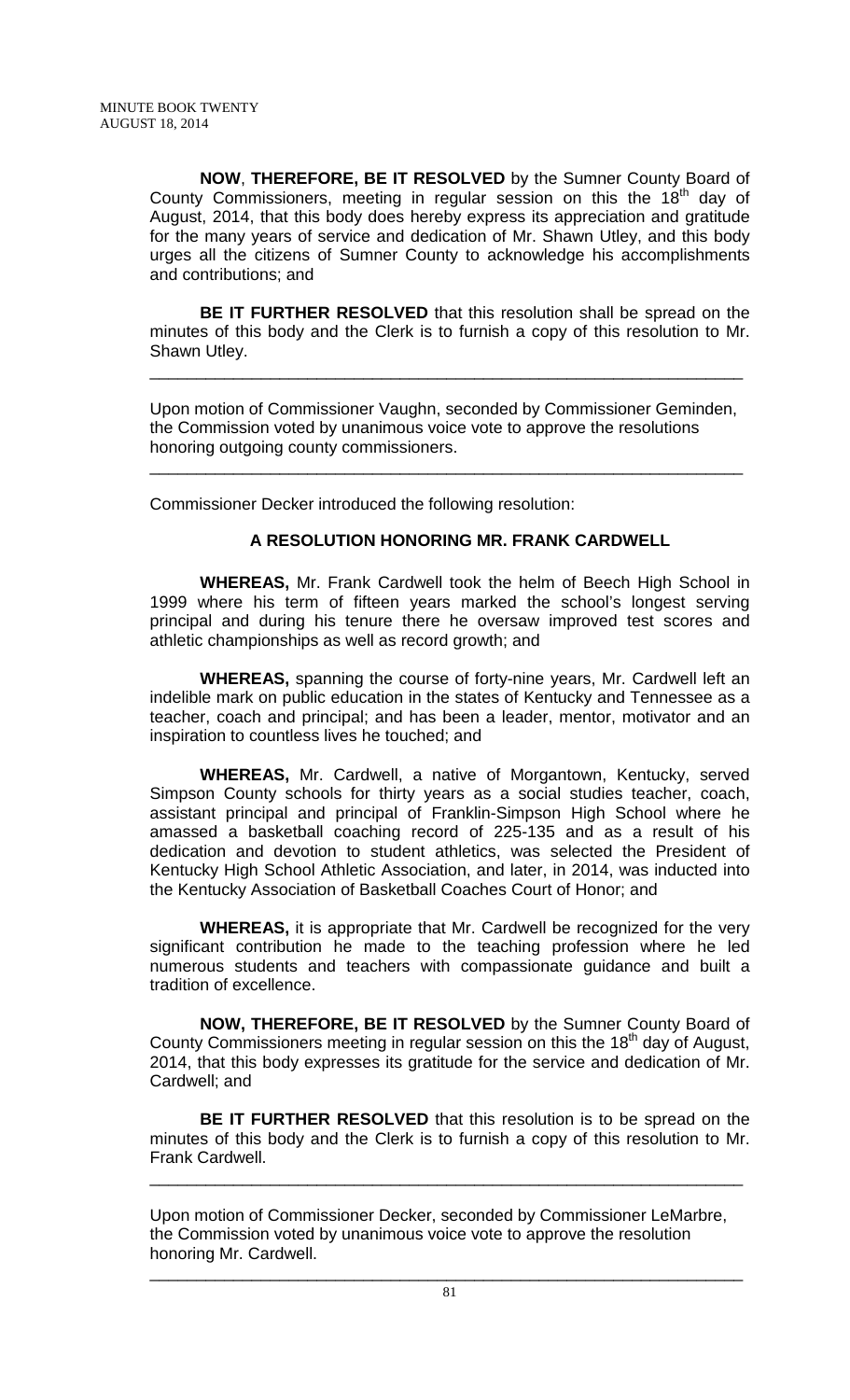**NOW**, **THEREFORE, BE IT RESOLVED** by the Sumner County Board of County Commissioners, meeting in regular session on this the  $18<sup>th</sup>$  day of August, 2014, that this body does hereby express its appreciation and gratitude for the many years of service and dedication of Mr. Shawn Utley, and this body urges all the citizens of Sumner County to acknowledge his accomplishments and contributions; and

**BE IT FURTHER RESOLVED** that this resolution shall be spread on the minutes of this body and the Clerk is to furnish a copy of this resolution to Mr. Shawn Utley.

Upon motion of Commissioner Vaughn, seconded by Commissioner Geminden, the Commission voted by unanimous voice vote to approve the resolutions honoring outgoing county commissioners.

\_\_\_\_\_\_\_\_\_\_\_\_\_\_\_\_\_\_\_\_\_\_\_\_\_\_\_\_\_\_\_\_\_\_\_\_\_\_\_\_\_\_\_\_\_\_\_\_\_\_\_\_\_\_\_\_\_\_\_\_\_\_\_\_

\_\_\_\_\_\_\_\_\_\_\_\_\_\_\_\_\_\_\_\_\_\_\_\_\_\_\_\_\_\_\_\_\_\_\_\_\_\_\_\_\_\_\_\_\_\_\_\_\_\_\_\_\_\_\_\_\_\_\_\_\_\_\_\_

Commissioner Decker introduced the following resolution:

## **A RESOLUTION HONORING MR. FRANK CARDWELL**

**WHEREAS,** Mr. Frank Cardwell took the helm of Beech High School in 1999 where his term of fifteen years marked the school's longest serving principal and during his tenure there he oversaw improved test scores and athletic championships as well as record growth; and

**WHEREAS,** spanning the course of forty-nine years, Mr. Cardwell left an indelible mark on public education in the states of Kentucky and Tennessee as a teacher, coach and principal; and has been a leader, mentor, motivator and an inspiration to countless lives he touched; and

**WHEREAS,** Mr. Cardwell, a native of Morgantown, Kentucky, served Simpson County schools for thirty years as a social studies teacher, coach, assistant principal and principal of Franklin-Simpson High School where he amassed a basketball coaching record of 225-135 and as a result of his dedication and devotion to student athletics, was selected the President of Kentucky High School Athletic Association, and later, in 2014, was inducted into the Kentucky Association of Basketball Coaches Court of Honor; and

**WHEREAS,** it is appropriate that Mr. Cardwell be recognized for the very significant contribution he made to the teaching profession where he led numerous students and teachers with compassionate guidance and built a tradition of excellence.

**NOW, THEREFORE, BE IT RESOLVED** by the Sumner County Board of County Commissioners meeting in regular session on this the 18<sup>th</sup> day of August, 2014, that this body expresses its gratitude for the service and dedication of Mr. Cardwell; and

**BE IT FURTHER RESOLVED** that this resolution is to be spread on the minutes of this body and the Clerk is to furnish a copy of this resolution to Mr. Frank Cardwell.

\_\_\_\_\_\_\_\_\_\_\_\_\_\_\_\_\_\_\_\_\_\_\_\_\_\_\_\_\_\_\_\_\_\_\_\_\_\_\_\_\_\_\_\_\_\_\_\_\_\_\_\_\_\_\_\_\_\_\_\_\_\_\_\_

Upon motion of Commissioner Decker, seconded by Commissioner LeMarbre, the Commission voted by unanimous voice vote to approve the resolution honoring Mr. Cardwell.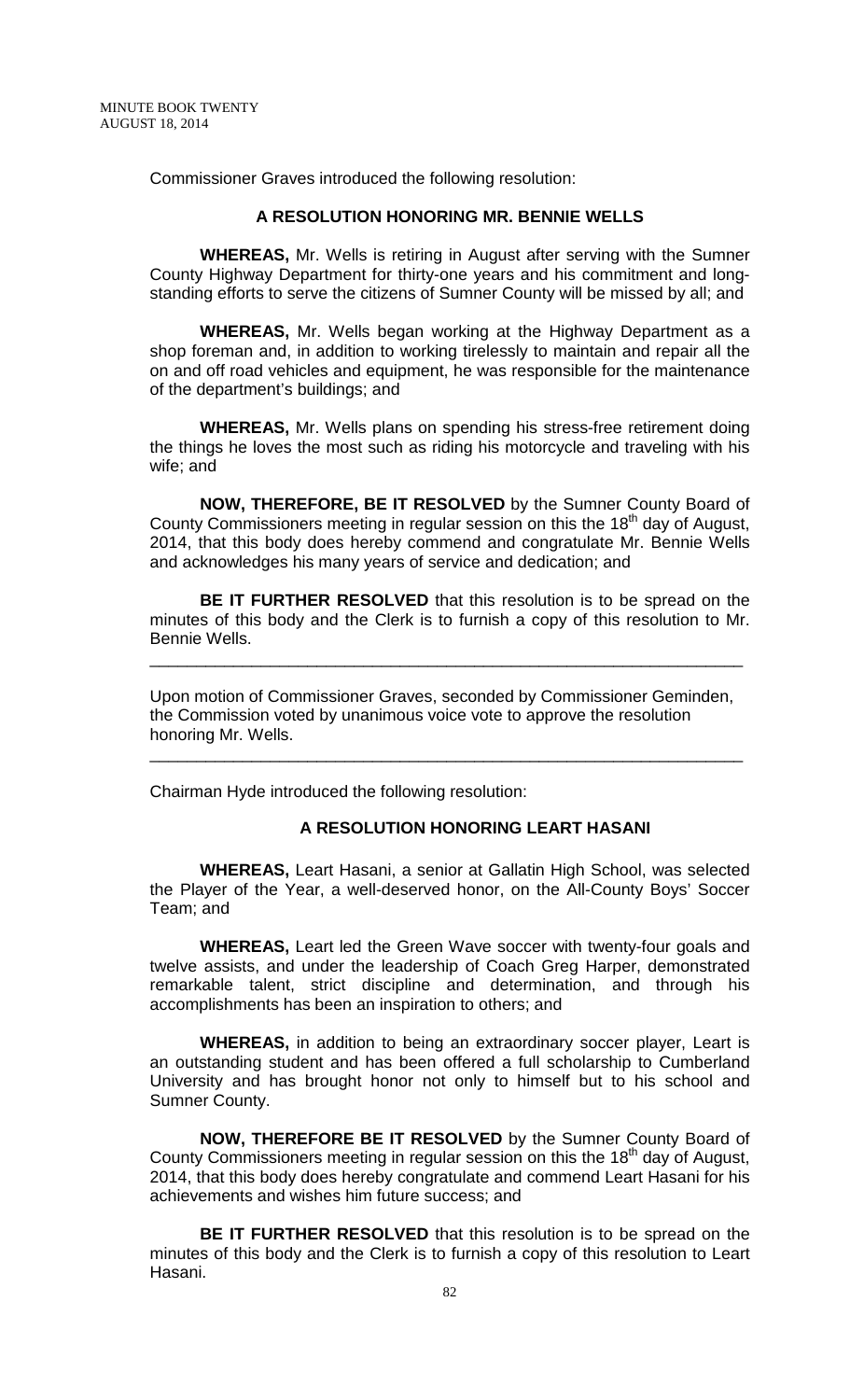Commissioner Graves introduced the following resolution:

#### **A RESOLUTION HONORING MR. BENNIE WELLS**

**WHEREAS,** Mr. Wells is retiring in August after serving with the Sumner County Highway Department for thirty-one years and his commitment and longstanding efforts to serve the citizens of Sumner County will be missed by all; and

**WHEREAS,** Mr. Wells began working at the Highway Department as a shop foreman and, in addition to working tirelessly to maintain and repair all the on and off road vehicles and equipment, he was responsible for the maintenance of the department's buildings; and

**WHEREAS,** Mr. Wells plans on spending his stress-free retirement doing the things he loves the most such as riding his motorcycle and traveling with his wife; and

**NOW, THEREFORE, BE IT RESOLVED** by the Sumner County Board of County Commissioners meeting in regular session on this the 18<sup>th</sup> day of August, 2014, that this body does hereby commend and congratulate Mr. Bennie Wells and acknowledges his many years of service and dedication; and

**BE IT FURTHER RESOLVED** that this resolution is to be spread on the minutes of this body and the Clerk is to furnish a copy of this resolution to Mr. Bennie Wells.

\_\_\_\_\_\_\_\_\_\_\_\_\_\_\_\_\_\_\_\_\_\_\_\_\_\_\_\_\_\_\_\_\_\_\_\_\_\_\_\_\_\_\_\_\_\_\_\_\_\_\_\_\_\_\_\_\_\_\_\_\_\_\_\_

Upon motion of Commissioner Graves, seconded by Commissioner Geminden, the Commission voted by unanimous voice vote to approve the resolution honoring Mr. Wells.

\_\_\_\_\_\_\_\_\_\_\_\_\_\_\_\_\_\_\_\_\_\_\_\_\_\_\_\_\_\_\_\_\_\_\_\_\_\_\_\_\_\_\_\_\_\_\_\_\_\_\_\_\_\_\_\_\_\_\_\_\_\_\_\_

Chairman Hyde introduced the following resolution:

### **A RESOLUTION HONORING LEART HASANI**

**WHEREAS,** Leart Hasani, a senior at Gallatin High School, was selected the Player of the Year, a well-deserved honor, on the All-County Boys' Soccer Team; and

**WHEREAS,** Leart led the Green Wave soccer with twenty-four goals and twelve assists, and under the leadership of Coach Greg Harper, demonstrated remarkable talent, strict discipline and determination, and through his accomplishments has been an inspiration to others; and

**WHEREAS,** in addition to being an extraordinary soccer player, Leart is an outstanding student and has been offered a full scholarship to Cumberland University and has brought honor not only to himself but to his school and Sumner County.

**NOW, THEREFORE BE IT RESOLVED** by the Sumner County Board of County Commissioners meeting in regular session on this the 18<sup>th</sup> day of August, 2014, that this body does hereby congratulate and commend Leart Hasani for his achievements and wishes him future success; and

**BE IT FURTHER RESOLVED** that this resolution is to be spread on the minutes of this body and the Clerk is to furnish a copy of this resolution to Leart Hasani.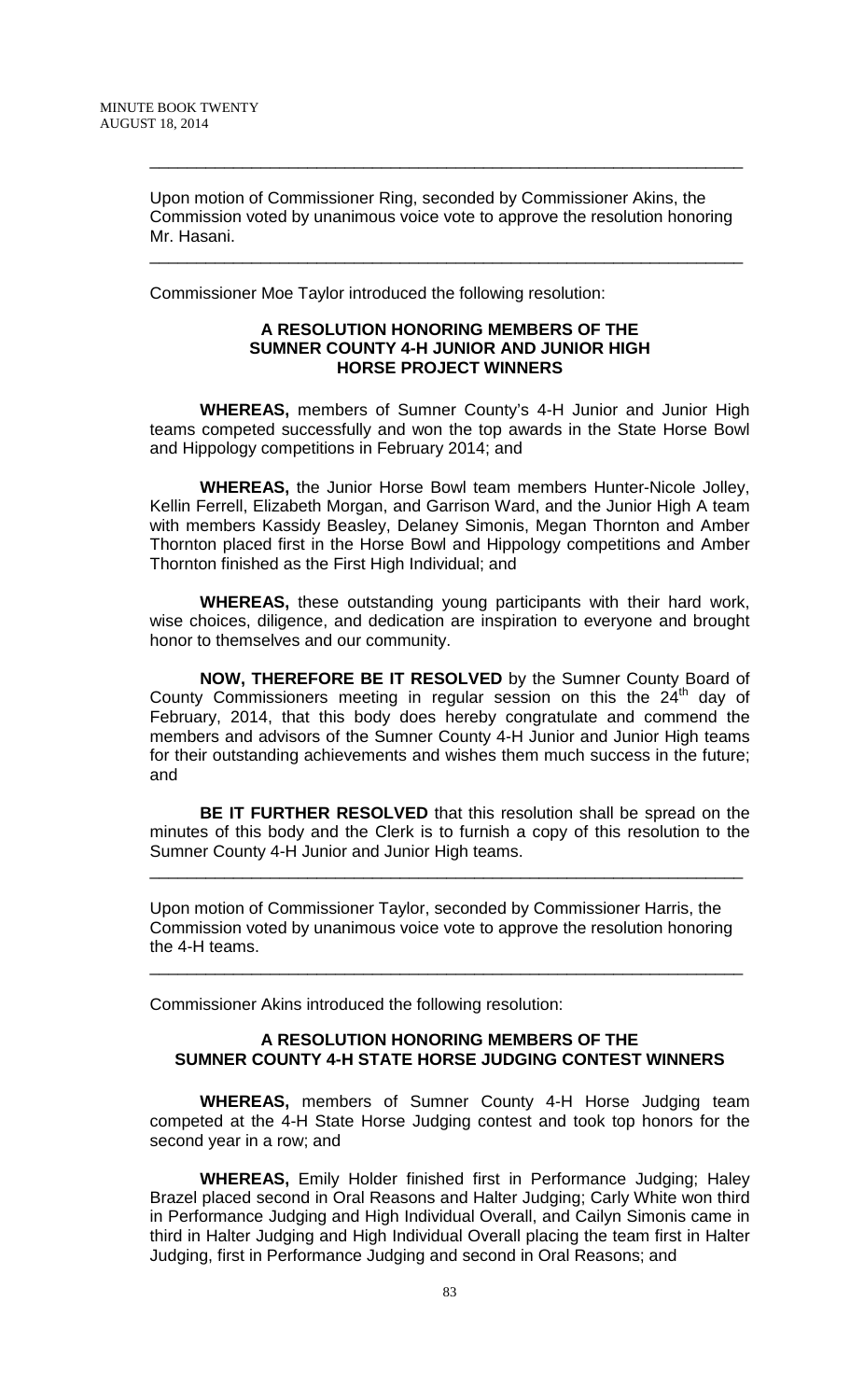Upon motion of Commissioner Ring, seconded by Commissioner Akins, the Commission voted by unanimous voice vote to approve the resolution honoring Mr. Hasani.

\_\_\_\_\_\_\_\_\_\_\_\_\_\_\_\_\_\_\_\_\_\_\_\_\_\_\_\_\_\_\_\_\_\_\_\_\_\_\_\_\_\_\_\_\_\_\_\_\_\_\_\_\_\_\_\_\_\_\_\_\_\_\_\_

\_\_\_\_\_\_\_\_\_\_\_\_\_\_\_\_\_\_\_\_\_\_\_\_\_\_\_\_\_\_\_\_\_\_\_\_\_\_\_\_\_\_\_\_\_\_\_\_\_\_\_\_\_\_\_\_\_\_\_\_\_\_\_\_

Commissioner Moe Taylor introduced the following resolution:

#### **A RESOLUTION HONORING MEMBERS OF THE SUMNER COUNTY 4-H JUNIOR AND JUNIOR HIGH HORSE PROJECT WINNERS**

**WHEREAS,** members of Sumner County's 4-H Junior and Junior High teams competed successfully and won the top awards in the State Horse Bowl and Hippology competitions in February 2014; and

**WHEREAS,** the Junior Horse Bowl team members Hunter-Nicole Jolley, Kellin Ferrell, Elizabeth Morgan, and Garrison Ward, and the Junior High A team with members Kassidy Beasley, Delaney Simonis, Megan Thornton and Amber Thornton placed first in the Horse Bowl and Hippology competitions and Amber Thornton finished as the First High Individual; and

**WHEREAS,** these outstanding young participants with their hard work, wise choices, diligence, and dedication are inspiration to everyone and brought honor to themselves and our community.

**NOW, THEREFORE BE IT RESOLVED** by the Sumner County Board of County Commissioners meeting in regular session on this the  $24<sup>th</sup>$  day of February, 2014, that this body does hereby congratulate and commend the members and advisors of the Sumner County 4-H Junior and Junior High teams for their outstanding achievements and wishes them much success in the future; and

**BE IT FURTHER RESOLVED** that this resolution shall be spread on the minutes of this body and the Clerk is to furnish a copy of this resolution to the Sumner County 4-H Junior and Junior High teams.

\_\_\_\_\_\_\_\_\_\_\_\_\_\_\_\_\_\_\_\_\_\_\_\_\_\_\_\_\_\_\_\_\_\_\_\_\_\_\_\_\_\_\_\_\_\_\_\_\_\_\_\_\_\_\_\_\_\_\_\_\_\_\_\_

Upon motion of Commissioner Taylor, seconded by Commissioner Harris, the Commission voted by unanimous voice vote to approve the resolution honoring the 4-H teams.

\_\_\_\_\_\_\_\_\_\_\_\_\_\_\_\_\_\_\_\_\_\_\_\_\_\_\_\_\_\_\_\_\_\_\_\_\_\_\_\_\_\_\_\_\_\_\_\_\_\_\_\_\_\_\_\_\_\_\_\_\_\_\_\_

Commissioner Akins introduced the following resolution:

# **A RESOLUTION HONORING MEMBERS OF THE SUMNER COUNTY 4-H STATE HORSE JUDGING CONTEST WINNERS**

**WHEREAS,** members of Sumner County 4-H Horse Judging team competed at the 4-H State Horse Judging contest and took top honors for the second year in a row; and

**WHEREAS,** Emily Holder finished first in Performance Judging; Haley Brazel placed second in Oral Reasons and Halter Judging; Carly White won third in Performance Judging and High Individual Overall, and Cailyn Simonis came in third in Halter Judging and High Individual Overall placing the team first in Halter Judging, first in Performance Judging and second in Oral Reasons; and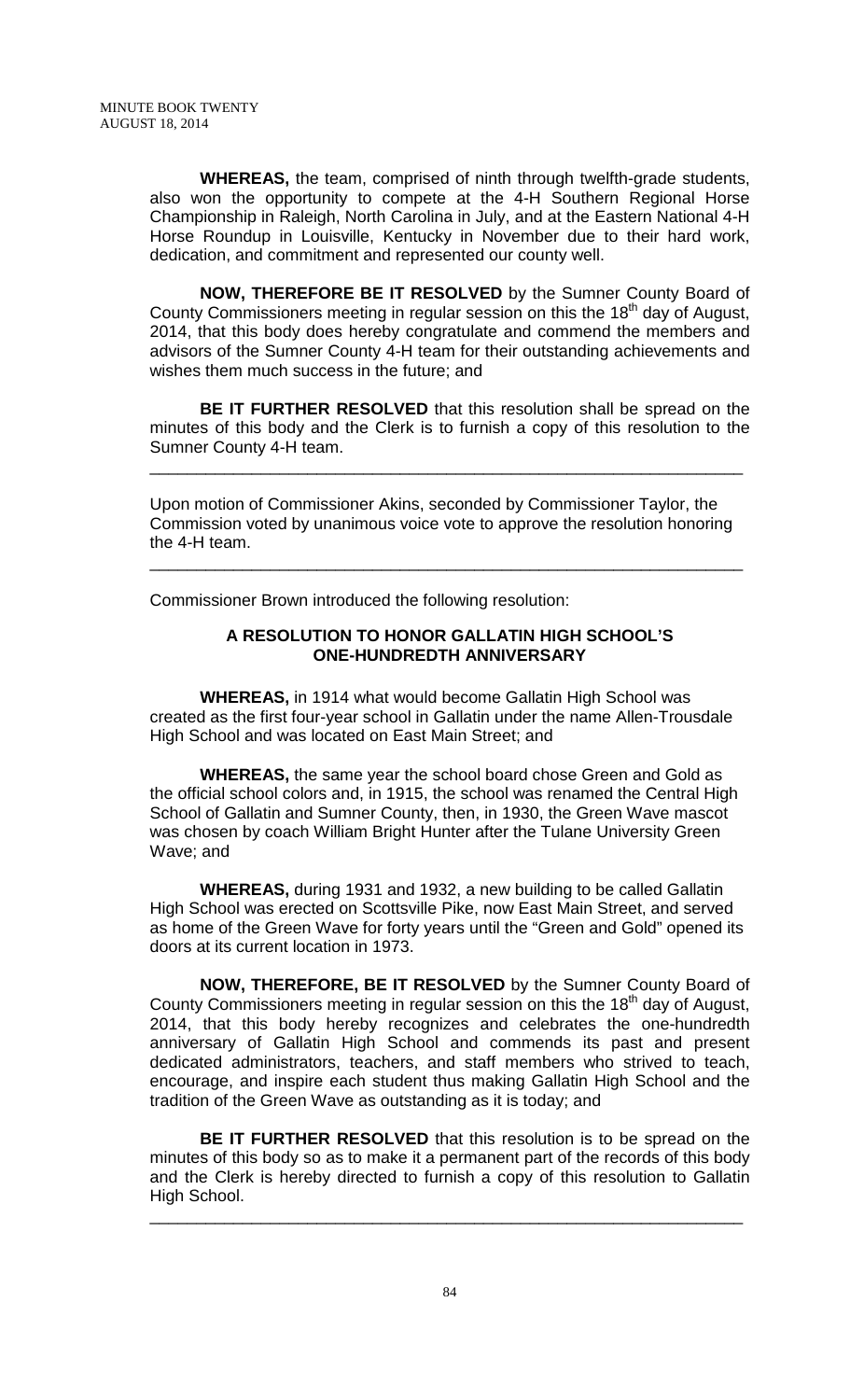**WHEREAS,** the team, comprised of ninth through twelfth-grade students, also won the opportunity to compete at the 4-H Southern Regional Horse Championship in Raleigh, North Carolina in July, and at the Eastern National 4-H Horse Roundup in Louisville, Kentucky in November due to their hard work, dedication, and commitment and represented our county well.

**NOW, THEREFORE BE IT RESOLVED** by the Sumner County Board of County Commissioners meeting in regular session on this the  $18<sup>th</sup>$  day of August, 2014, that this body does hereby congratulate and commend the members and advisors of the Sumner County 4-H team for their outstanding achievements and wishes them much success in the future; and

**BE IT FURTHER RESOLVED** that this resolution shall be spread on the minutes of this body and the Clerk is to furnish a copy of this resolution to the Sumner County 4-H team.

\_\_\_\_\_\_\_\_\_\_\_\_\_\_\_\_\_\_\_\_\_\_\_\_\_\_\_\_\_\_\_\_\_\_\_\_\_\_\_\_\_\_\_\_\_\_\_\_\_\_\_\_\_\_\_\_\_\_\_\_\_\_\_\_

Upon motion of Commissioner Akins, seconded by Commissioner Taylor, the Commission voted by unanimous voice vote to approve the resolution honoring the 4-H team.

\_\_\_\_\_\_\_\_\_\_\_\_\_\_\_\_\_\_\_\_\_\_\_\_\_\_\_\_\_\_\_\_\_\_\_\_\_\_\_\_\_\_\_\_\_\_\_\_\_\_\_\_\_\_\_\_\_\_\_\_\_\_\_\_

Commissioner Brown introduced the following resolution:

### **A RESOLUTION TO HONOR GALLATIN HIGH SCHOOL'S ONE-HUNDREDTH ANNIVERSARY**

**WHEREAS,** in 1914 what would become Gallatin High School was created as the first four-year school in Gallatin under the name Allen-Trousdale High School and was located on East Main Street; and

**WHEREAS,** the same year the school board chose Green and Gold as the official school colors and, in 1915, the school was renamed the Central High School of Gallatin and Sumner County, then, in 1930, the Green Wave mascot was chosen by coach William Bright Hunter after the Tulane University Green Wave; and

**WHEREAS,** during 1931 and 1932, a new building to be called Gallatin High School was erected on Scottsville Pike, now East Main Street, and served as home of the Green Wave for forty years until the "Green and Gold" opened its doors at its current location in 1973.

**NOW, THEREFORE, BE IT RESOLVED** by the Sumner County Board of County Commissioners meeting in regular session on this the 18<sup>th</sup> day of August, 2014, that this body hereby recognizes and celebrates the one-hundredth anniversary of Gallatin High School and commends its past and present dedicated administrators, teachers, and staff members who strived to teach, encourage, and inspire each student thus making Gallatin High School and the tradition of the Green Wave as outstanding as it is today; and

**BE IT FURTHER RESOLVED** that this resolution is to be spread on the minutes of this body so as to make it a permanent part of the records of this body and the Clerk is hereby directed to furnish a copy of this resolution to Gallatin High School.

\_\_\_\_\_\_\_\_\_\_\_\_\_\_\_\_\_\_\_\_\_\_\_\_\_\_\_\_\_\_\_\_\_\_\_\_\_\_\_\_\_\_\_\_\_\_\_\_\_\_\_\_\_\_\_\_\_\_\_\_\_\_\_\_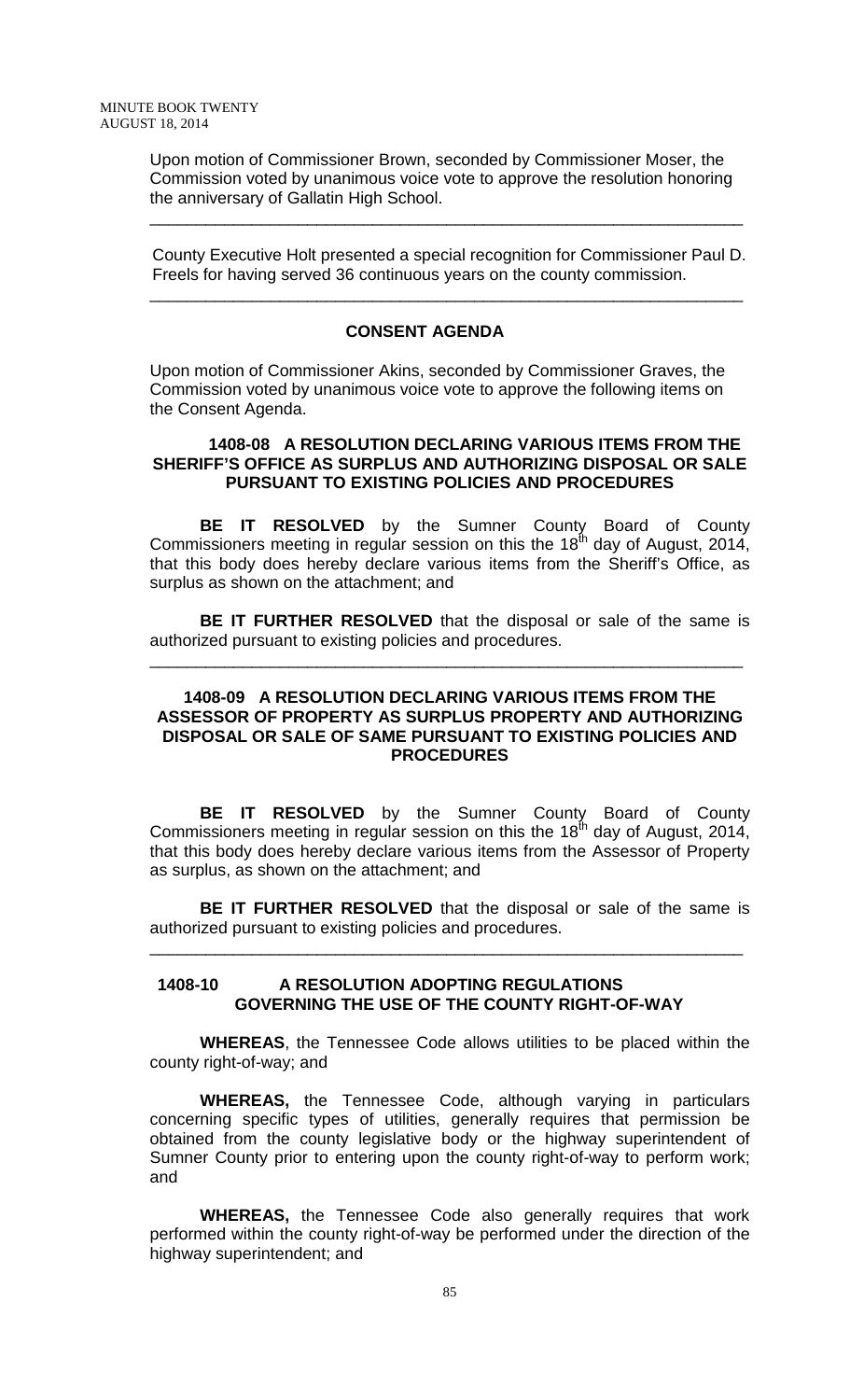Upon motion of Commissioner Brown, seconded by Commissioner Moser, the Commission voted by unanimous voice vote to approve the resolution honoring the anniversary of Gallatin High School.

\_\_\_\_\_\_\_\_\_\_\_\_\_\_\_\_\_\_\_\_\_\_\_\_\_\_\_\_\_\_\_\_\_\_\_\_\_\_\_\_\_\_\_\_\_\_\_\_\_\_\_\_\_\_\_\_\_\_\_\_\_\_\_\_

 County Executive Holt presented a special recognition for Commissioner Paul D. Freels for having served 36 continuous years on the county commission.

\_\_\_\_\_\_\_\_\_\_\_\_\_\_\_\_\_\_\_\_\_\_\_\_\_\_\_\_\_\_\_\_\_\_\_\_\_\_\_\_\_\_\_\_\_\_\_\_\_\_\_\_\_\_\_\_\_\_\_\_\_\_\_\_

#### **CONSENT AGENDA**

Upon motion of Commissioner Akins, seconded by Commissioner Graves, the Commission voted by unanimous voice vote to approve the following items on the Consent Agenda.

#### **1408-08 A RESOLUTION DECLARING VARIOUS ITEMS FROM THE SHERIFF'S OFFICE AS SURPLUS AND AUTHORIZING DISPOSAL OR SALE PURSUANT TO EXISTING POLICIES AND PROCEDURES**

**BE IT RESOLVED** by the Sumner County Board of County Commissioners meeting in regular session on this the  $18^{th}$  day of August, 2014, that this body does hereby declare various items from the Sheriff's Office, as surplus as shown on the attachment; and

**BE IT FURTHER RESOLVED** that the disposal or sale of the same is authorized pursuant to existing policies and procedures.

\_\_\_\_\_\_\_\_\_\_\_\_\_\_\_\_\_\_\_\_\_\_\_\_\_\_\_\_\_\_\_\_\_\_\_\_\_\_\_\_\_\_\_\_\_\_\_\_\_\_\_\_\_\_\_\_\_\_\_\_\_\_\_\_

### **1408-09 A RESOLUTION DECLARING VARIOUS ITEMS FROM THE ASSESSOR OF PROPERTY AS SURPLUS PROPERTY AND AUTHORIZING DISPOSAL OR SALE OF SAME PURSUANT TO EXISTING POLICIES AND PROCEDURES**

**BE IT RESOLVED** by the Sumner County Board of County Commissioners meeting in regular session on this the 18<sup>th</sup> day of August, 2014, that this body does hereby declare various items from the Assessor of Property as surplus, as shown on the attachment; and

**BE IT FURTHER RESOLVED** that the disposal or sale of the same is authorized pursuant to existing policies and procedures.

\_\_\_\_\_\_\_\_\_\_\_\_\_\_\_\_\_\_\_\_\_\_\_\_\_\_\_\_\_\_\_\_\_\_\_\_\_\_\_\_\_\_\_\_\_\_\_\_\_\_\_\_\_\_\_\_\_\_\_\_\_\_\_\_

### **1408-10 A RESOLUTION ADOPTING REGULATIONS GOVERNING THE USE OF THE COUNTY RIGHT-OF-WAY**

**WHEREAS**, the Tennessee Code allows utilities to be placed within the county right-of-way; and

**WHEREAS,** the Tennessee Code, although varying in particulars concerning specific types of utilities, generally requires that permission be obtained from the county legislative body or the highway superintendent of Sumner County prior to entering upon the county right-of-way to perform work; and

**WHEREAS,** the Tennessee Code also generally requires that work performed within the county right-of-way be performed under the direction of the highway superintendent; and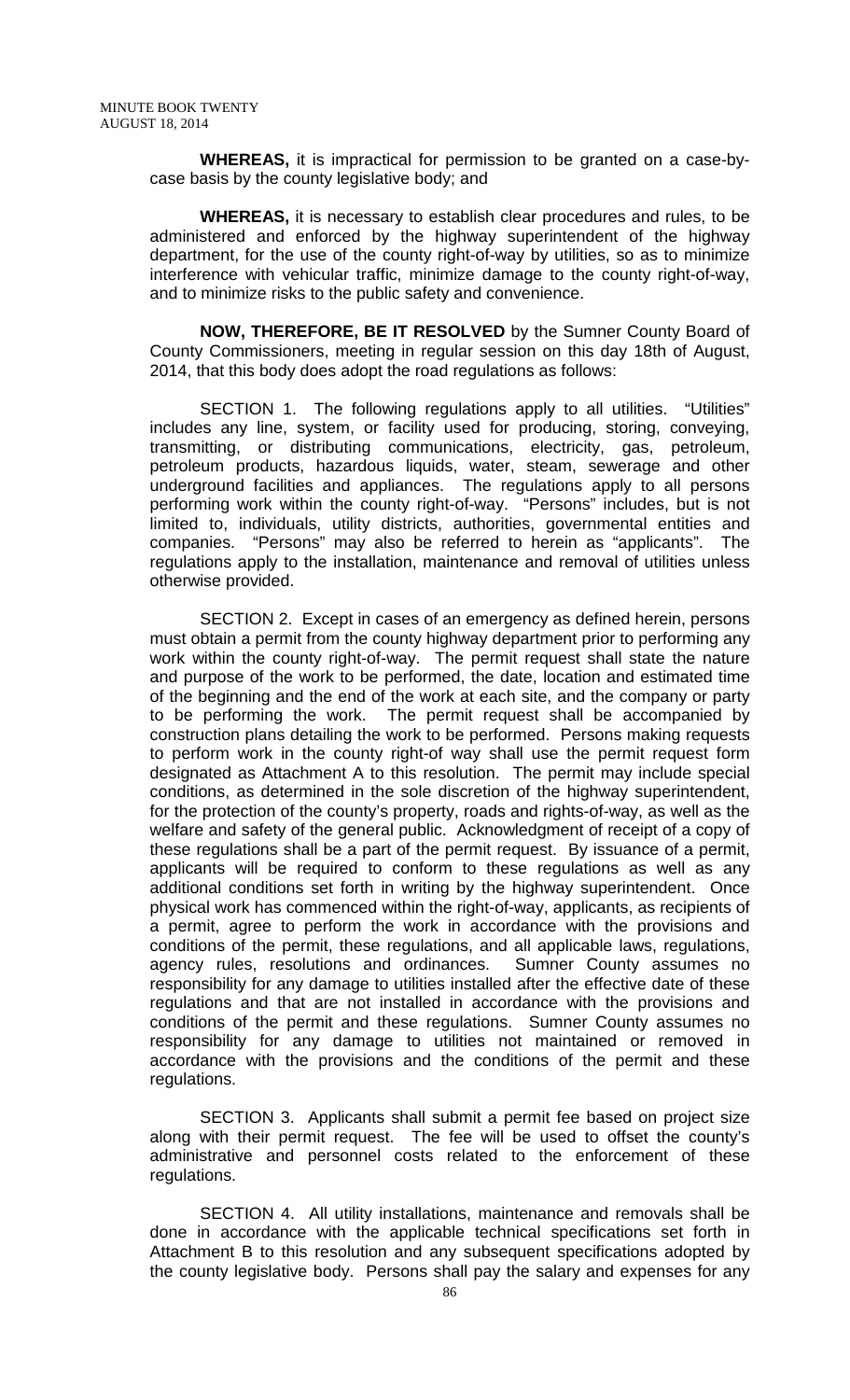**WHEREAS,** it is impractical for permission to be granted on a case-bycase basis by the county legislative body; and

**WHEREAS,** it is necessary to establish clear procedures and rules, to be administered and enforced by the highway superintendent of the highway department, for the use of the county right-of-way by utilities, so as to minimize interference with vehicular traffic, minimize damage to the county right-of-way, and to minimize risks to the public safety and convenience.

**NOW, THEREFORE, BE IT RESOLVED** by the Sumner County Board of County Commissioners, meeting in regular session on this day 18th of August, 2014, that this body does adopt the road regulations as follows:

SECTION 1. The following regulations apply to all utilities. "Utilities" includes any line, system, or facility used for producing, storing, conveying, transmitting, or distributing communications, electricity, gas, petroleum, petroleum products, hazardous liquids, water, steam, sewerage and other underground facilities and appliances. The regulations apply to all persons performing work within the county right-of-way. "Persons" includes, but is not limited to, individuals, utility districts, authorities, governmental entities and companies. "Persons" may also be referred to herein as "applicants". The regulations apply to the installation, maintenance and removal of utilities unless otherwise provided.

SECTION 2. Except in cases of an emergency as defined herein, persons must obtain a permit from the county highway department prior to performing any work within the county right-of-way. The permit request shall state the nature and purpose of the work to be performed, the date, location and estimated time of the beginning and the end of the work at each site, and the company or party to be performing the work. The permit request shall be accompanied by construction plans detailing the work to be performed. Persons making requests to perform work in the county right-of way shall use the permit request form designated as Attachment A to this resolution. The permit may include special conditions, as determined in the sole discretion of the highway superintendent, for the protection of the county's property, roads and rights-of-way, as well as the welfare and safety of the general public. Acknowledgment of receipt of a copy of these regulations shall be a part of the permit request. By issuance of a permit, applicants will be required to conform to these regulations as well as any additional conditions set forth in writing by the highway superintendent. Once physical work has commenced within the right-of-way, applicants, as recipients of a permit, agree to perform the work in accordance with the provisions and conditions of the permit, these regulations, and all applicable laws, regulations, agency rules, resolutions and ordinances. Sumner County assumes no responsibility for any damage to utilities installed after the effective date of these regulations and that are not installed in accordance with the provisions and conditions of the permit and these regulations. Sumner County assumes no responsibility for any damage to utilities not maintained or removed in accordance with the provisions and the conditions of the permit and these regulations.

SECTION 3. Applicants shall submit a permit fee based on project size along with their permit request. The fee will be used to offset the county's administrative and personnel costs related to the enforcement of these regulations.

SECTION 4. All utility installations, maintenance and removals shall be done in accordance with the applicable technical specifications set forth in Attachment B to this resolution and any subsequent specifications adopted by the county legislative body. Persons shall pay the salary and expenses for any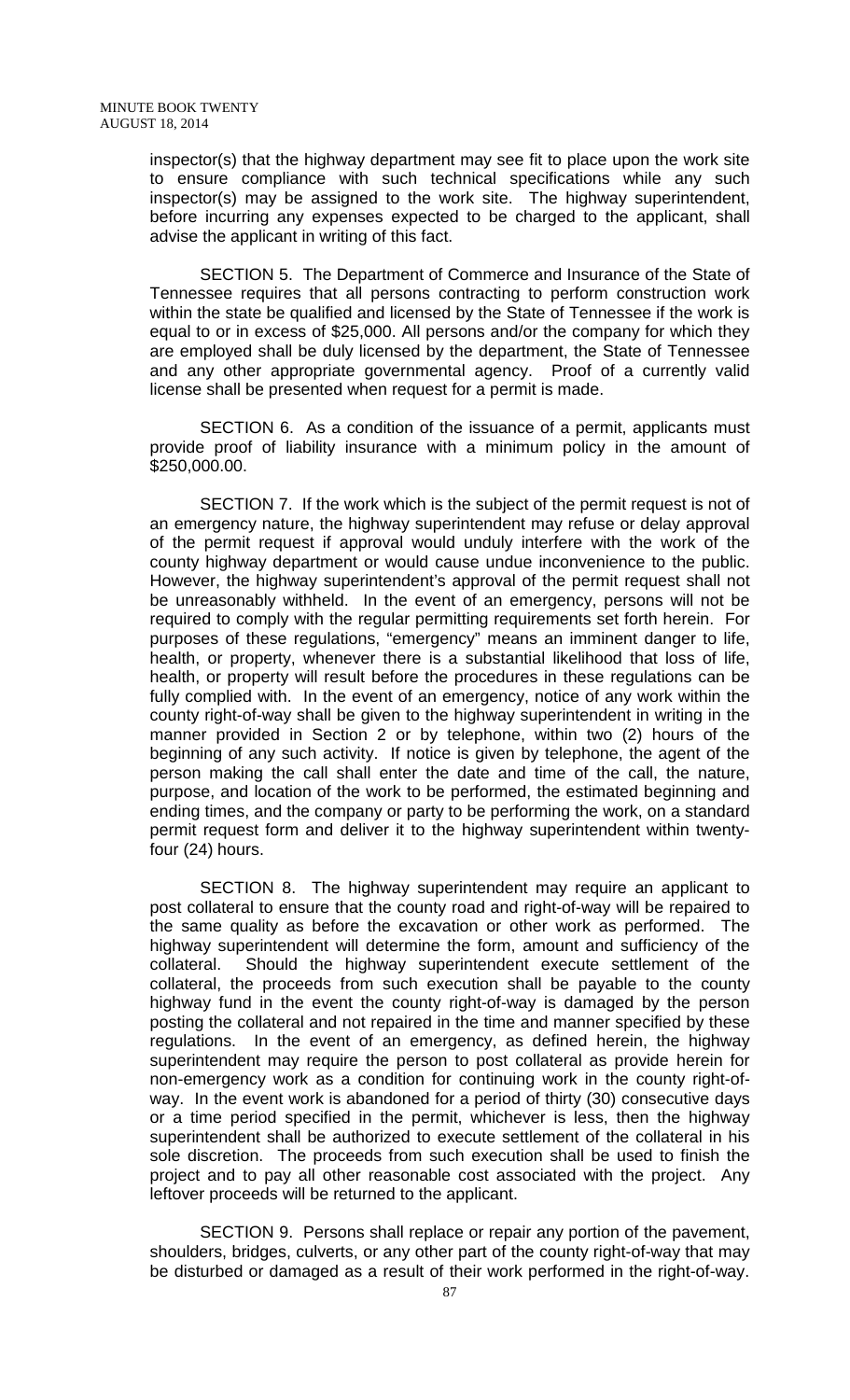inspector(s) that the highway department may see fit to place upon the work site to ensure compliance with such technical specifications while any such inspector(s) may be assigned to the work site. The highway superintendent, before incurring any expenses expected to be charged to the applicant, shall advise the applicant in writing of this fact.

SECTION 5. The Department of Commerce and Insurance of the State of Tennessee requires that all persons contracting to perform construction work within the state be qualified and licensed by the State of Tennessee if the work is equal to or in excess of \$25,000. All persons and/or the company for which they are employed shall be duly licensed by the department, the State of Tennessee and any other appropriate governmental agency. Proof of a currently valid license shall be presented when request for a permit is made.

SECTION 6. As a condition of the issuance of a permit, applicants must provide proof of liability insurance with a minimum policy in the amount of \$250,000.00.

SECTION 7. If the work which is the subject of the permit request is not of an emergency nature, the highway superintendent may refuse or delay approval of the permit request if approval would unduly interfere with the work of the county highway department or would cause undue inconvenience to the public. However, the highway superintendent's approval of the permit request shall not be unreasonably withheld. In the event of an emergency, persons will not be required to comply with the regular permitting requirements set forth herein. For purposes of these regulations, "emergency" means an imminent danger to life, health, or property, whenever there is a substantial likelihood that loss of life, health, or property will result before the procedures in these regulations can be fully complied with. In the event of an emergency, notice of any work within the county right-of-way shall be given to the highway superintendent in writing in the manner provided in Section 2 or by telephone, within two (2) hours of the beginning of any such activity. If notice is given by telephone, the agent of the person making the call shall enter the date and time of the call, the nature, purpose, and location of the work to be performed, the estimated beginning and ending times, and the company or party to be performing the work, on a standard permit request form and deliver it to the highway superintendent within twentyfour (24) hours.

SECTION 8. The highway superintendent may require an applicant to post collateral to ensure that the county road and right-of-way will be repaired to the same quality as before the excavation or other work as performed. The highway superintendent will determine the form, amount and sufficiency of the collateral. Should the highway superintendent execute settlement of the collateral, the proceeds from such execution shall be payable to the county highway fund in the event the county right-of-way is damaged by the person posting the collateral and not repaired in the time and manner specified by these regulations. In the event of an emergency, as defined herein, the highway superintendent may require the person to post collateral as provide herein for non-emergency work as a condition for continuing work in the county right-ofway. In the event work is abandoned for a period of thirty (30) consecutive days or a time period specified in the permit, whichever is less, then the highway superintendent shall be authorized to execute settlement of the collateral in his sole discretion. The proceeds from such execution shall be used to finish the project and to pay all other reasonable cost associated with the project. Any leftover proceeds will be returned to the applicant.

SECTION 9. Persons shall replace or repair any portion of the pavement, shoulders, bridges, culverts, or any other part of the county right-of-way that may be disturbed or damaged as a result of their work performed in the right-of-way.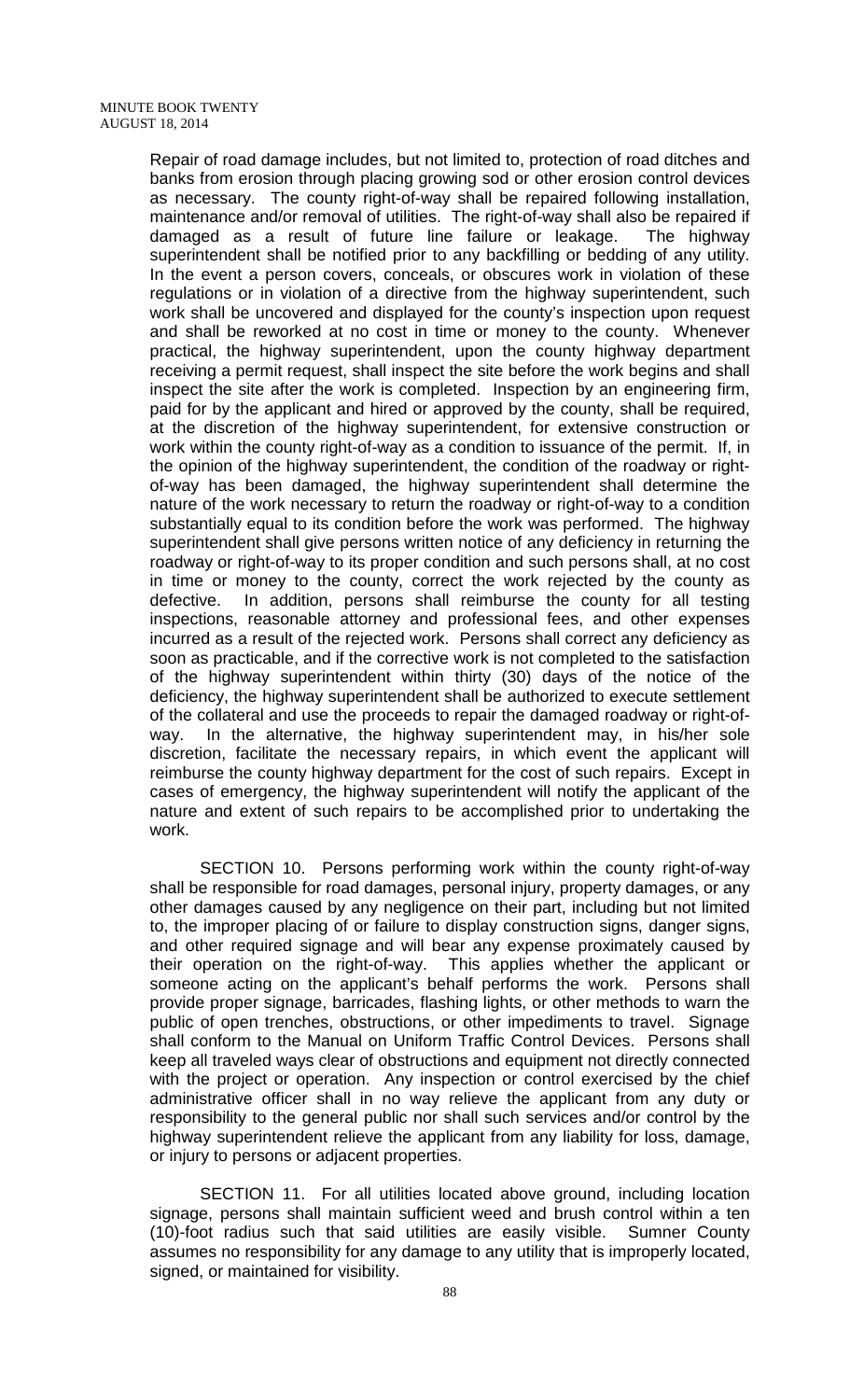Repair of road damage includes, but not limited to, protection of road ditches and banks from erosion through placing growing sod or other erosion control devices as necessary. The county right-of-way shall be repaired following installation, maintenance and/or removal of utilities. The right-of-way shall also be repaired if damaged as a result of future line failure or leakage. The highway superintendent shall be notified prior to any backfilling or bedding of any utility. In the event a person covers, conceals, or obscures work in violation of these regulations or in violation of a directive from the highway superintendent, such work shall be uncovered and displayed for the county's inspection upon request and shall be reworked at no cost in time or money to the county. Whenever practical, the highway superintendent, upon the county highway department receiving a permit request, shall inspect the site before the work begins and shall inspect the site after the work is completed. Inspection by an engineering firm, paid for by the applicant and hired or approved by the county, shall be required, at the discretion of the highway superintendent, for extensive construction or work within the county right-of-way as a condition to issuance of the permit. If, in the opinion of the highway superintendent, the condition of the roadway or rightof-way has been damaged, the highway superintendent shall determine the nature of the work necessary to return the roadway or right-of-way to a condition substantially equal to its condition before the work was performed. The highway superintendent shall give persons written notice of any deficiency in returning the roadway or right-of-way to its proper condition and such persons shall, at no cost in time or money to the county, correct the work rejected by the county as defective. In addition, persons shall reimburse the county for all testing inspections, reasonable attorney and professional fees, and other expenses incurred as a result of the rejected work. Persons shall correct any deficiency as soon as practicable, and if the corrective work is not completed to the satisfaction of the highway superintendent within thirty (30) days of the notice of the deficiency, the highway superintendent shall be authorized to execute settlement of the collateral and use the proceeds to repair the damaged roadway or right-ofway. In the alternative, the highway superintendent may, in his/her sole discretion, facilitate the necessary repairs, in which event the applicant will reimburse the county highway department for the cost of such repairs. Except in cases of emergency, the highway superintendent will notify the applicant of the nature and extent of such repairs to be accomplished prior to undertaking the work.

SECTION 10. Persons performing work within the county right-of-way shall be responsible for road damages, personal injury, property damages, or any other damages caused by any negligence on their part, including but not limited to, the improper placing of or failure to display construction signs, danger signs, and other required signage and will bear any expense proximately caused by their operation on the right-of-way. This applies whether the applicant or someone acting on the applicant's behalf performs the work. Persons shall provide proper signage, barricades, flashing lights, or other methods to warn the public of open trenches, obstructions, or other impediments to travel. Signage shall conform to the Manual on Uniform Traffic Control Devices. Persons shall keep all traveled ways clear of obstructions and equipment not directly connected with the project or operation. Any inspection or control exercised by the chief administrative officer shall in no way relieve the applicant from any duty or responsibility to the general public nor shall such services and/or control by the highway superintendent relieve the applicant from any liability for loss, damage, or injury to persons or adjacent properties.

SECTION 11. For all utilities located above ground, including location signage, persons shall maintain sufficient weed and brush control within a ten (10)-foot radius such that said utilities are easily visible. Sumner County assumes no responsibility for any damage to any utility that is improperly located, signed, or maintained for visibility.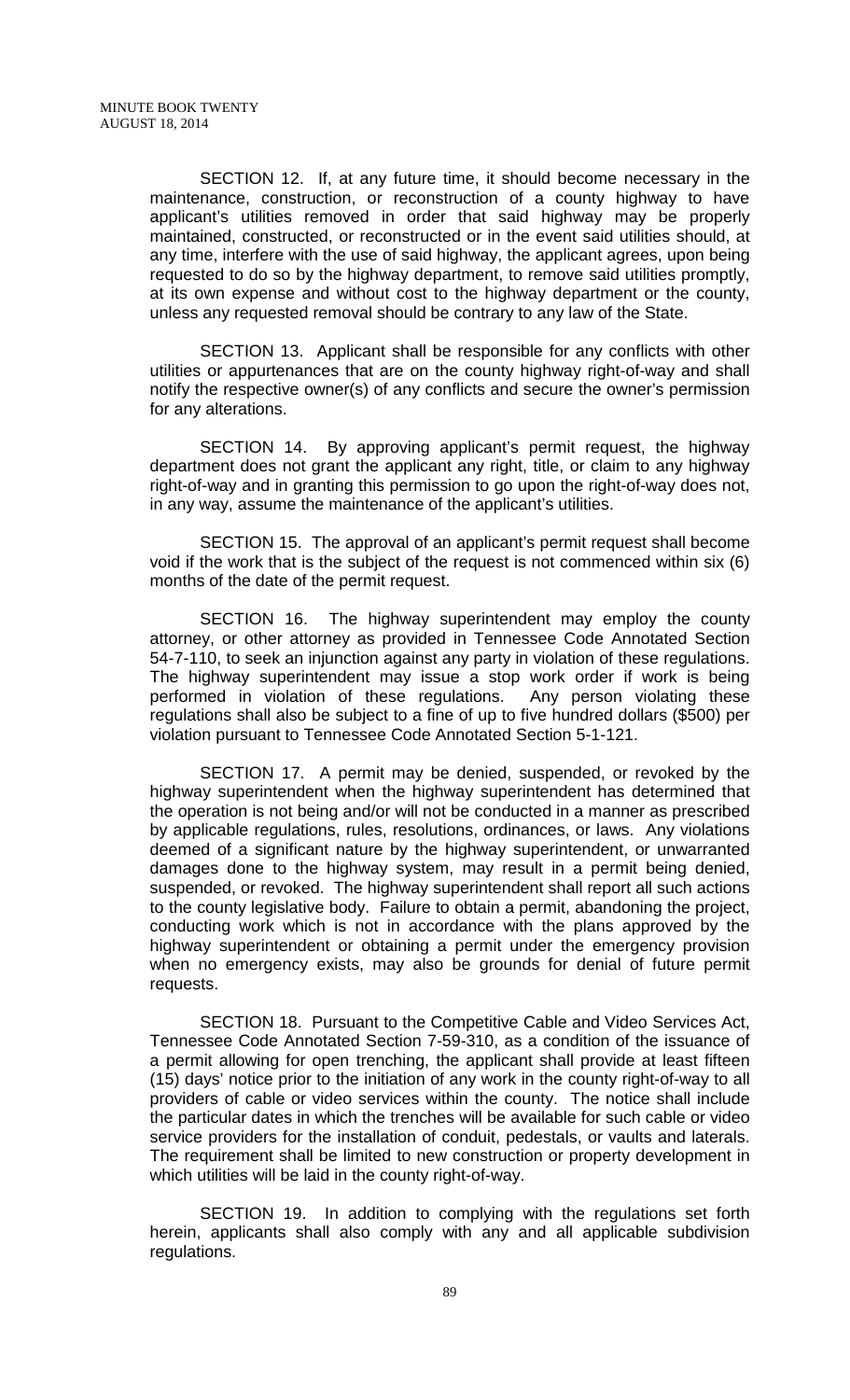SECTION 12. If, at any future time, it should become necessary in the maintenance, construction, or reconstruction of a county highway to have applicant's utilities removed in order that said highway may be properly maintained, constructed, or reconstructed or in the event said utilities should, at any time, interfere with the use of said highway, the applicant agrees, upon being requested to do so by the highway department, to remove said utilities promptly, at its own expense and without cost to the highway department or the county, unless any requested removal should be contrary to any law of the State.

SECTION 13. Applicant shall be responsible for any conflicts with other utilities or appurtenances that are on the county highway right-of-way and shall notify the respective owner(s) of any conflicts and secure the owner's permission for any alterations.

SECTION 14. By approving applicant's permit request, the highway department does not grant the applicant any right, title, or claim to any highway right-of-way and in granting this permission to go upon the right-of-way does not, in any way, assume the maintenance of the applicant's utilities.

SECTION 15. The approval of an applicant's permit request shall become void if the work that is the subject of the request is not commenced within six (6) months of the date of the permit request.

SECTION 16. The highway superintendent may employ the county attorney, or other attorney as provided in Tennessee Code Annotated Section 54-7-110, to seek an injunction against any party in violation of these regulations. The highway superintendent may issue a stop work order if work is being performed in violation of these regulations. Any person violating these regulations shall also be subject to a fine of up to five hundred dollars (\$500) per violation pursuant to Tennessee Code Annotated Section 5-1-121.

SECTION 17. A permit may be denied, suspended, or revoked by the highway superintendent when the highway superintendent has determined that the operation is not being and/or will not be conducted in a manner as prescribed by applicable regulations, rules, resolutions, ordinances, or laws. Any violations deemed of a significant nature by the highway superintendent, or unwarranted damages done to the highway system, may result in a permit being denied, suspended, or revoked. The highway superintendent shall report all such actions to the county legislative body. Failure to obtain a permit, abandoning the project, conducting work which is not in accordance with the plans approved by the highway superintendent or obtaining a permit under the emergency provision when no emergency exists, may also be grounds for denial of future permit requests.

SECTION 18. Pursuant to the Competitive Cable and Video Services Act, Tennessee Code Annotated Section 7-59-310, as a condition of the issuance of a permit allowing for open trenching, the applicant shall provide at least fifteen (15) days' notice prior to the initiation of any work in the county right-of-way to all providers of cable or video services within the county. The notice shall include the particular dates in which the trenches will be available for such cable or video service providers for the installation of conduit, pedestals, or vaults and laterals. The requirement shall be limited to new construction or property development in which utilities will be laid in the county right-of-way.

SECTION 19. In addition to complying with the regulations set forth herein, applicants shall also comply with any and all applicable subdivision regulations.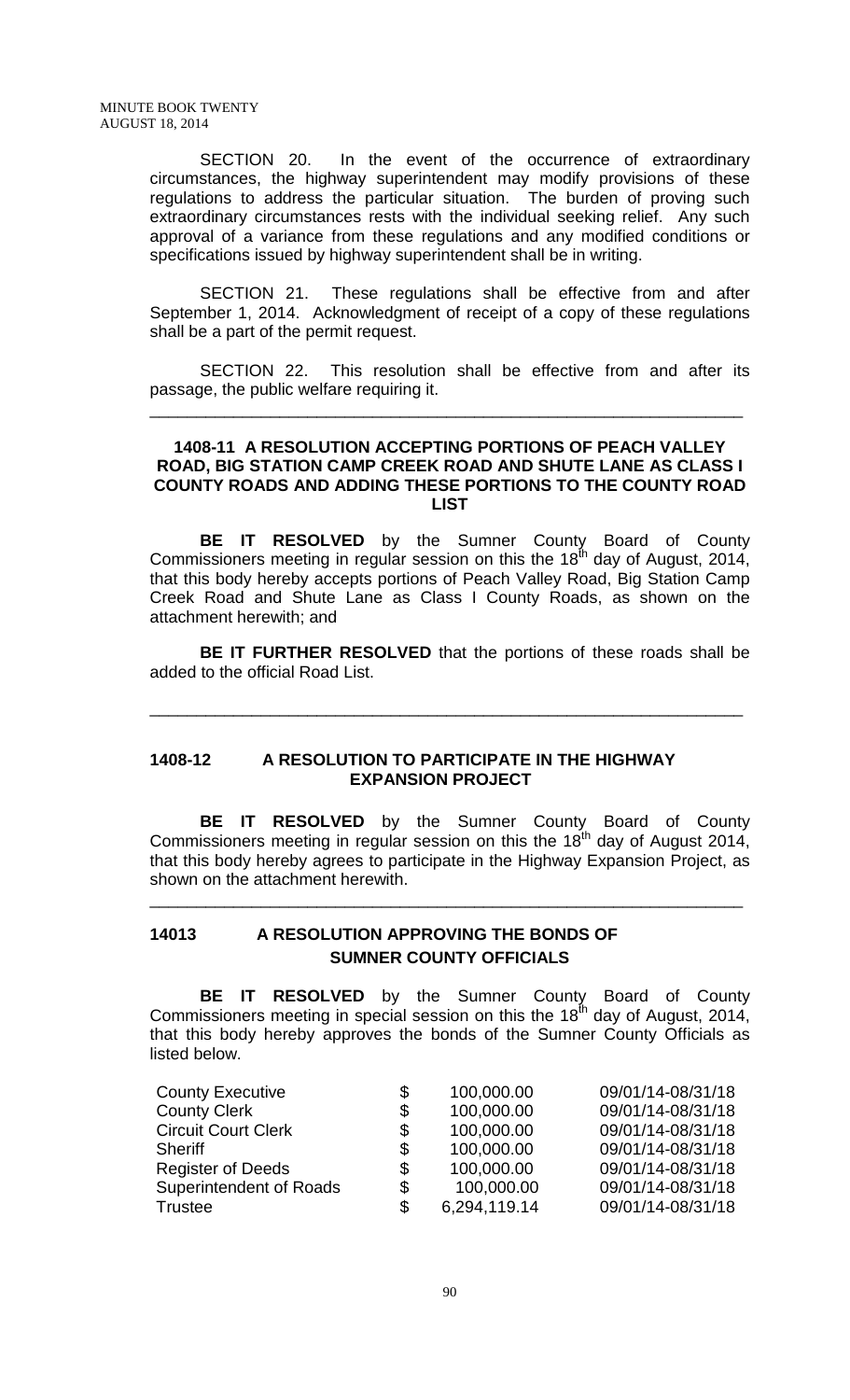SECTION 20. In the event of the occurrence of extraordinary circumstances, the highway superintendent may modify provisions of these regulations to address the particular situation. The burden of proving such extraordinary circumstances rests with the individual seeking relief. Any such approval of a variance from these regulations and any modified conditions or specifications issued by highway superintendent shall be in writing.

SECTION 21. These regulations shall be effective from and after September 1, 2014. Acknowledgment of receipt of a copy of these regulations shall be a part of the permit request.

SECTION 22. This resolution shall be effective from and after its passage, the public welfare requiring it.

\_\_\_\_\_\_\_\_\_\_\_\_\_\_\_\_\_\_\_\_\_\_\_\_\_\_\_\_\_\_\_\_\_\_\_\_\_\_\_\_\_\_\_\_\_\_\_\_\_\_\_\_\_\_\_\_\_\_\_\_\_\_\_\_

#### **1408-11 A RESOLUTION ACCEPTING PORTIONS OF PEACH VALLEY ROAD, BIG STATION CAMP CREEK ROAD AND SHUTE LANE AS CLASS I COUNTY ROADS AND ADDING THESE PORTIONS TO THE COUNTY ROAD LIST**

**BE IT RESOLVED** by the Sumner County Board of County Commissioners meeting in regular session on this the  $18<sup>th</sup>$  day of August, 2014, that this body hereby accepts portions of Peach Valley Road, Big Station Camp Creek Road and Shute Lane as Class I County Roads, as shown on the attachment herewith; and

**BE IT FURTHER RESOLVED** that the portions of these roads shall be added to the official Road List.

\_\_\_\_\_\_\_\_\_\_\_\_\_\_\_\_\_\_\_\_\_\_\_\_\_\_\_\_\_\_\_\_\_\_\_\_\_\_\_\_\_\_\_\_\_\_\_\_\_\_\_\_\_\_\_\_\_\_\_\_\_\_\_\_

#### **1408-12 A RESOLUTION TO PARTICIPATE IN THE HIGHWAY EXPANSION PROJECT**

**BE IT RESOLVED** by the Sumner County Board of County Commissioners meeting in regular session on this the  $18<sup>th</sup>$  day of August 2014, that this body hereby agrees to participate in the Highway Expansion Project, as shown on the attachment herewith.

\_\_\_\_\_\_\_\_\_\_\_\_\_\_\_\_\_\_\_\_\_\_\_\_\_\_\_\_\_\_\_\_\_\_\_\_\_\_\_\_\_\_\_\_\_\_\_\_\_\_\_\_\_\_\_\_\_\_\_\_\_\_\_\_

## **14013 A RESOLUTION APPROVING THE BONDS OF SUMNER COUNTY OFFICIALS**

**BE IT RESOLVED** by the Sumner County Board of County Commissioners meeting in special session on this the 18<sup>th</sup> day of August, 2014, that this body hereby approves the bonds of the Sumner County Officials as listed below.

| <b>County Executive</b>        | \$<br>100,000.00   | 09/01/14-08/31/18 |
|--------------------------------|--------------------|-------------------|
| <b>County Clerk</b>            | \$<br>100,000.00   | 09/01/14-08/31/18 |
| <b>Circuit Court Clerk</b>     | \$<br>100,000.00   | 09/01/14-08/31/18 |
| Sheriff                        | \$<br>100,000.00   | 09/01/14-08/31/18 |
| <b>Register of Deeds</b>       | \$<br>100,000.00   | 09/01/14-08/31/18 |
| <b>Superintendent of Roads</b> | \$<br>100,000.00   | 09/01/14-08/31/18 |
| Trustee                        | \$<br>6,294,119.14 | 09/01/14-08/31/18 |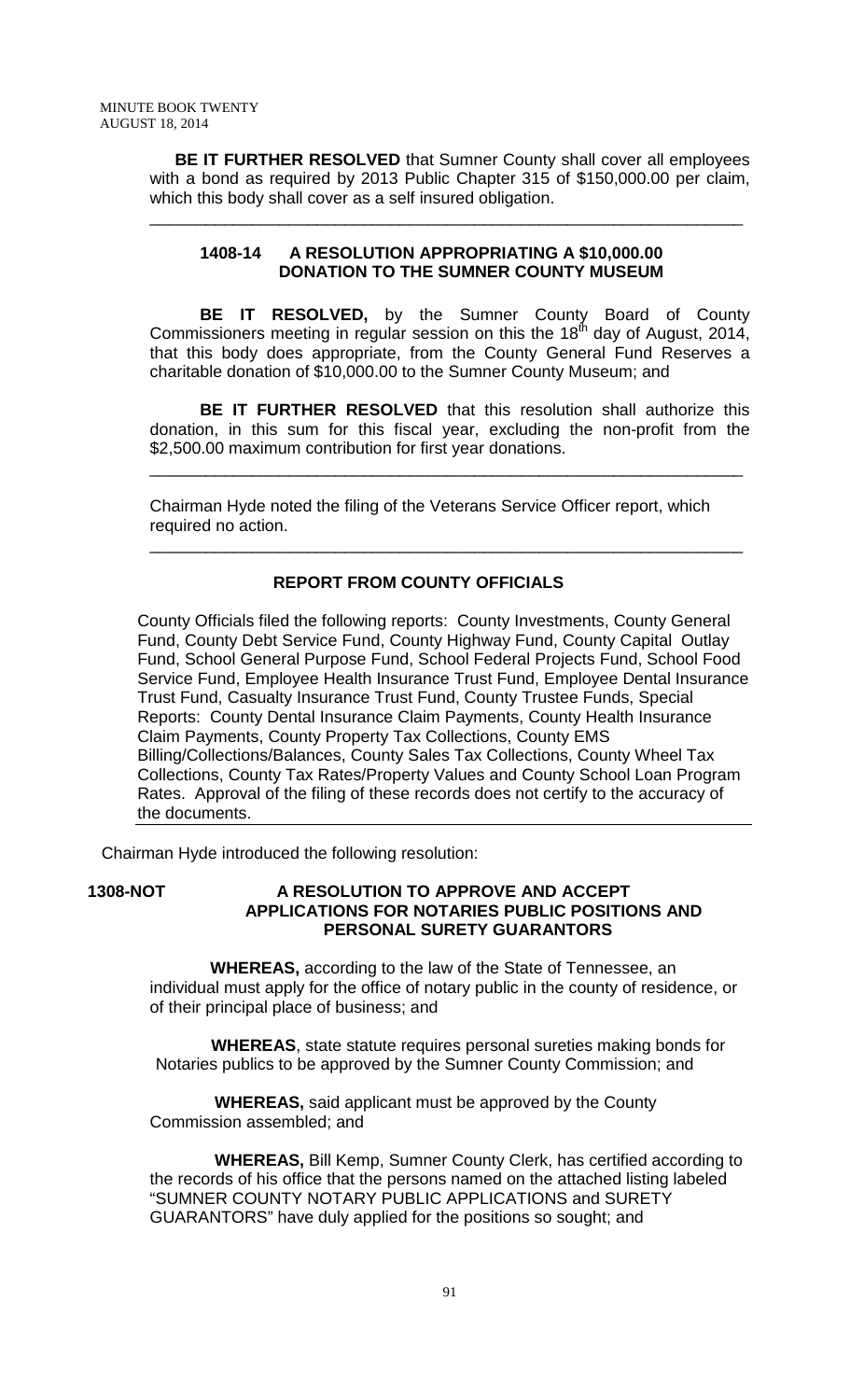**BE IT FURTHER RESOLVED** that Sumner County shall cover all employees with a bond as required by 2013 Public Chapter 315 of \$150,000.00 per claim, which this body shall cover as a self insured obligation.

\_\_\_\_\_\_\_\_\_\_\_\_\_\_\_\_\_\_\_\_\_\_\_\_\_\_\_\_\_\_\_\_\_\_\_\_\_\_\_\_\_\_\_\_\_\_\_\_\_\_\_\_\_\_\_\_\_\_\_\_\_\_\_\_

# **1408-14 A RESOLUTION APPROPRIATING A \$10,000.00 DONATION TO THE SUMNER COUNTY MUSEUM**

**BE IT RESOLVED,** by the Sumner County Board of County Commissioners meeting in regular session on this the 18<sup>th</sup> day of August, 2014, that this body does appropriate, from the County General Fund Reserves a charitable donation of \$10,000.00 to the Sumner County Museum; and

**BE IT FURTHER RESOLVED** that this resolution shall authorize this donation, in this sum for this fiscal year, excluding the non-profit from the \$2,500.00 maximum contribution for first year donations.

\_\_\_\_\_\_\_\_\_\_\_\_\_\_\_\_\_\_\_\_\_\_\_\_\_\_\_\_\_\_\_\_\_\_\_\_\_\_\_\_\_\_\_\_\_\_\_\_\_\_\_\_\_\_\_\_\_\_\_\_\_\_\_\_

\_\_\_\_\_\_\_\_\_\_\_\_\_\_\_\_\_\_\_\_\_\_\_\_\_\_\_\_\_\_\_\_\_\_\_\_\_\_\_\_\_\_\_\_\_\_\_\_\_\_\_\_\_\_\_\_\_\_\_\_\_\_\_\_

Chairman Hyde noted the filing of the Veterans Service Officer report, which required no action.

# **REPORT FROM COUNTY OFFICIALS**

County Officials filed the following reports: County Investments, County General Fund, County Debt Service Fund, County Highway Fund, County Capital Outlay Fund, School General Purpose Fund, School Federal Projects Fund, School Food Service Fund, Employee Health Insurance Trust Fund, Employee Dental Insurance Trust Fund, Casualty Insurance Trust Fund, County Trustee Funds, Special Reports: County Dental Insurance Claim Payments, County Health Insurance Claim Payments, County Property Tax Collections, County EMS Billing/Collections/Balances, County Sales Tax Collections, County Wheel Tax Collections, County Tax Rates/Property Values and County School Loan Program Rates. Approval of the filing of these records does not certify to the accuracy of the documents.

Chairman Hyde introduced the following resolution:

## **1308-NOT A RESOLUTION TO APPROVE AND ACCEPT APPLICATIONS FOR NOTARIES PUBLIC POSITIONS AND PERSONAL SURETY GUARANTORS**

 **WHEREAS,** according to the law of the State of Tennessee, an individual must apply for the office of notary public in the county of residence, or of their principal place of business; and

 **WHEREAS**, state statute requires personal sureties making bonds for Notaries publics to be approved by the Sumner County Commission; and

 **WHEREAS,** said applicant must be approved by the County Commission assembled; and

 **WHEREAS,** Bill Kemp, Sumner County Clerk, has certified according to the records of his office that the persons named on the attached listing labeled "SUMNER COUNTY NOTARY PUBLIC APPLICATIONS and SURETY GUARANTORS" have duly applied for the positions so sought; and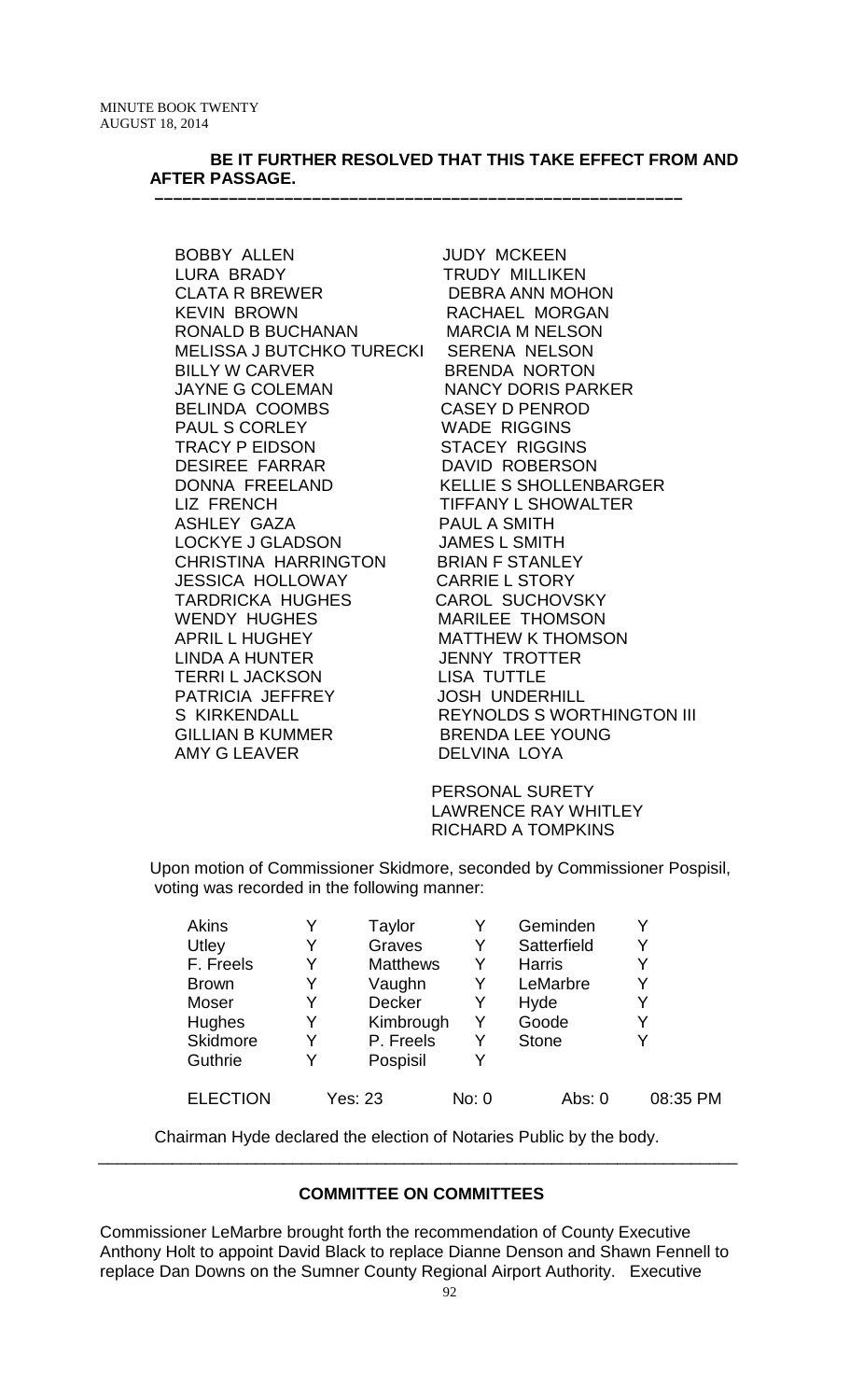## **BE IT FURTHER RESOLVED THAT THIS TAKE EFFECT FROM AND AFTER PASSAGE.**

 **–––––––––––––––––––––––––––––––––––––––––––––––––––––––––**

BOBBY ALLEN JUDY MCKEEN LURA BRADY TRUDY MILLIKEN CLATA R BREWER DEBRA ANN MOHON KEVIN BROWN RACHAEL MORGAN RONALD B BUCHANAN MARCIA M NELSON MELISSA J BUTCHKO TURECKI SERENA NELSON BILLY W CARVER BRENDA NORTON JAYNE G COLEMAN NANCY DORIS PARKER BELINDA COOMBS CASEY D PENROD PAUL S CORLEY WADE RIGGINS TRACY P EIDSON STACEY RIGGINS DESIREE FARRAR DAVID ROBERSON DONNA FREELAND KELLIE S SHOLLENBARGER LIZ FRENCH TIFFANY L SHOWALTER ASHLEY GAZA PAUL A SMITH LOCKYE J GLADSON JAMES L SMITH CHRISTINA HARRINGTON BRIAN F STANLEY JESSICA HOLLOWAY CARRIE L STORY TARDRICKA HUGHES CAROL SUCHOVSKY WENDY HUGHES MARILEE THOMSON APRIL L HUGHEY MATTHEW K THOMSON LINDA A HUNTER JENNY TROTTER<br>TERRI L JACKSON LISA TUTTLE TERRI L JACKSON LISA TUTTLE PATRICIA JEFFREY GILLIAN B KUMMER
BRENDA LEE YOUNG
BRENDA LEE YOUNG
BANY G LEAVER
BRENDA LOYA

S KIRKENDALL REYNOLDS S WORTHINGTON III<br>GILLIAN B KUMMER BRENDA LEE YOUNG DELVINA LOYA

> PERSONAL SURETY LAWRENCE RAY WHITLEY RICHARD A TOMPKINS

Upon motion of Commissioner Skidmore, seconded by Commissioner Pospisil, voting was recorded in the following manner:

| Akins           |   | Taylor          |       | Geminden      | Y        |
|-----------------|---|-----------------|-------|---------------|----------|
| Utley           |   | Graves          | Y     | Satterfield   | Y        |
| F. Freels       |   | <b>Matthews</b> | Y     | <b>Harris</b> | Y        |
| <b>Brown</b>    | Y | Vaughn          | Y     | LeMarbre      | Y        |
| Moser           |   | <b>Decker</b>   | Y     | Hyde          | Y        |
| Hughes          | Y | Kimbrough       |       | Goode         | Y        |
| Skidmore        | Y | P. Freels       | Y     | <b>Stone</b>  | Y        |
| Guthrie         |   | Pospisil        |       |               |          |
| <b>ELECTION</b> |   | Yes: 23         | No: 0 | Abs: 0        | 08:35 PM |

Chairman Hyde declared the election of Notaries Public by the body.

# **COMMITTEE ON COMMITTEES**

\_\_\_\_\_\_\_\_\_\_\_\_\_\_\_\_\_\_\_\_\_\_\_\_\_\_\_\_\_\_\_\_\_\_\_\_\_\_\_\_\_\_\_\_\_\_\_\_\_\_\_\_\_\_\_\_\_\_\_\_\_\_\_\_\_\_\_\_\_

Commissioner LeMarbre brought forth the recommendation of County Executive Anthony Holt to appoint David Black to replace Dianne Denson and Shawn Fennell to replace Dan Downs on the Sumner County Regional Airport Authority. Executive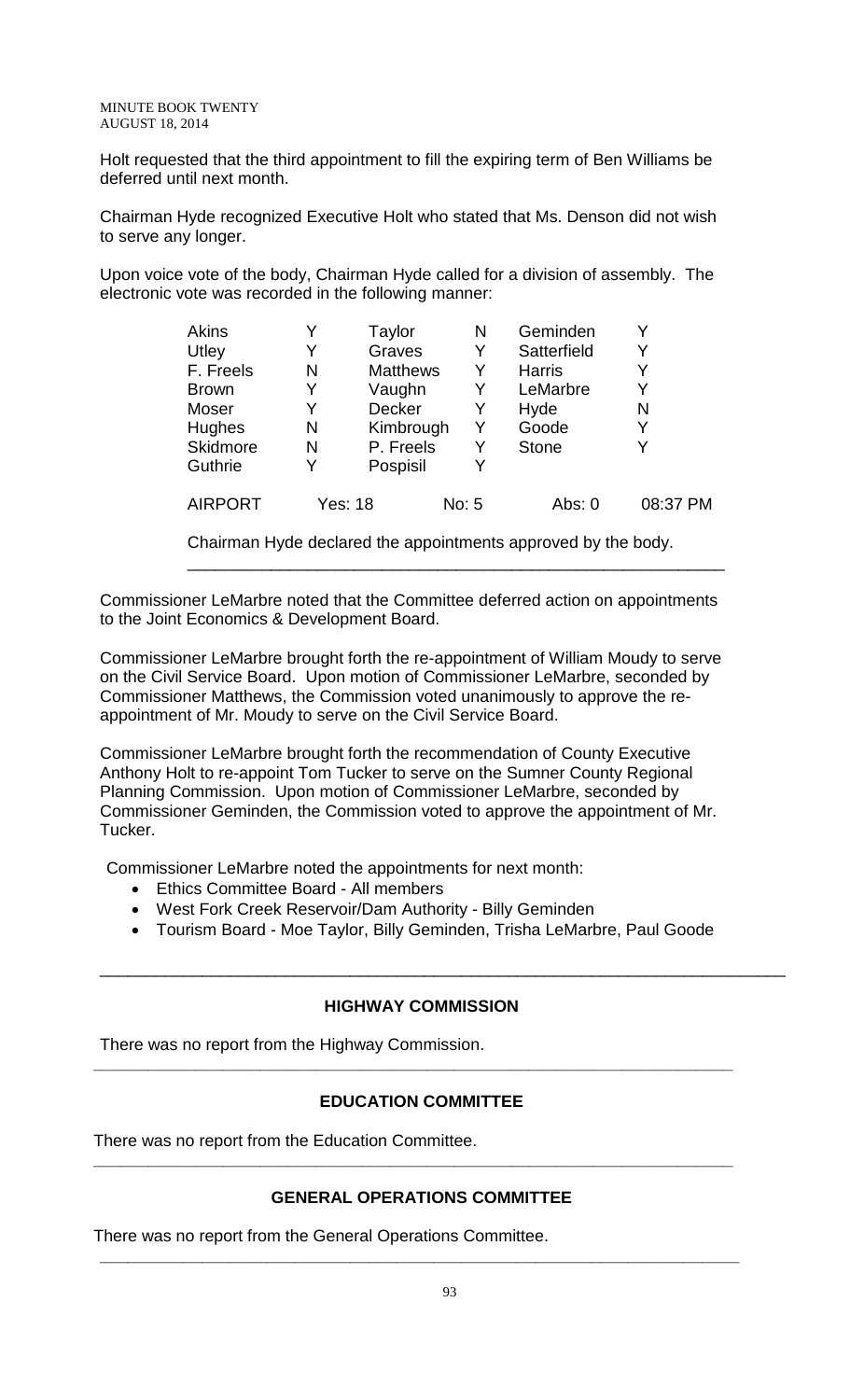Holt requested that the third appointment to fill the expiring term of Ben Williams be deferred until next month.

Chairman Hyde recognized Executive Holt who stated that Ms. Denson did not wish to serve any longer.

Upon voice vote of the body, Chairman Hyde called for a division of assembly. The electronic vote was recorded in the following manner:

| Akins          |   | Taylor          | N     | Geminden      |          |
|----------------|---|-----------------|-------|---------------|----------|
| Utley          | Y | Graves          | Y     | Satterfield   |          |
| F. Freels      | N | <b>Matthews</b> | Y     | <b>Harris</b> |          |
| <b>Brown</b>   | Y | Vaughn          | Y     | LeMarbre      |          |
| Moser          | Y | <b>Decker</b>   | Y     | Hyde          | N        |
| Hughes         | N | Kimbrough       | Y     | Goode         | Y        |
| Skidmore       | N | P. Freels       | Y     | <b>Stone</b>  |          |
| Guthrie        | Y | Pospisil        | Y     |               |          |
| <b>AIRPORT</b> |   | Yes: 18         | No: 5 | Abs: 0        | 08:37 PM |

Chairman Hyde declared the appointments approved by the body.

\_\_\_\_\_\_\_\_\_\_\_\_\_\_\_\_\_\_\_\_\_\_\_\_\_\_\_\_\_\_\_\_\_\_\_\_\_\_\_\_\_\_\_\_\_\_\_\_\_\_\_\_\_\_\_\_\_\_

Commissioner LeMarbre noted that the Committee deferred action on appointments to the Joint Economics & Development Board.

Commissioner LeMarbre brought forth the re-appointment of William Moudy to serve on the Civil Service Board. Upon motion of Commissioner LeMarbre, seconded by Commissioner Matthews, the Commission voted unanimously to approve the reappointment of Mr. Moudy to serve on the Civil Service Board.

Commissioner LeMarbre brought forth the recommendation of County Executive Anthony Holt to re-appoint Tom Tucker to serve on the Sumner County Regional Planning Commission. Upon motion of Commissioner LeMarbre, seconded by Commissioner Geminden, the Commission voted to approve the appointment of Mr. Tucker.

Commissioner LeMarbre noted the appointments for next month:

- Ethics Committee Board All members
- West Fork Creek Reservoir/Dam Authority Billy Geminden
- Tourism Board Moe Taylor, Billy Geminden, Trisha LeMarbre, Paul Goode

\_\_\_\_\_\_\_\_\_\_\_\_\_\_\_\_\_\_\_\_\_\_\_\_\_\_\_\_\_\_\_\_\_\_\_\_\_\_\_\_\_\_\_\_\_\_\_\_\_\_\_\_\_\_\_\_\_\_\_\_\_\_\_\_\_\_\_\_\_\_\_\_\_\_

### **HIGHWAY COMMISSION**

There was no report from the Highway Commission.

# **EDUCATION COMMITTEE**

**\_\_\_\_\_\_\_\_\_\_\_\_\_\_\_\_\_\_\_\_\_\_\_\_\_\_\_\_\_\_\_\_\_\_\_\_\_\_\_\_\_\_\_\_\_\_\_\_\_\_\_\_\_\_\_\_\_\_\_\_\_\_\_\_\_\_\_\_\_**

There was no report from the Education Committee.

# **GENERAL OPERATIONS COMMITTEE**

**\_\_\_\_\_\_\_\_\_\_\_\_\_\_\_\_\_\_\_\_\_\_\_\_\_\_\_\_\_\_\_\_\_\_\_\_\_\_\_\_\_\_\_\_\_\_\_\_\_\_\_\_\_\_\_\_\_\_\_\_\_\_\_\_\_\_\_\_\_**

**\_\_\_\_\_\_\_\_\_\_\_\_\_\_\_\_\_\_\_\_\_\_\_\_\_\_\_\_\_\_\_\_\_\_\_\_\_\_\_\_\_\_\_\_\_\_\_\_\_\_\_\_\_\_\_\_\_\_\_\_\_\_\_\_\_\_\_\_\_**

There was no report from the General Operations Committee.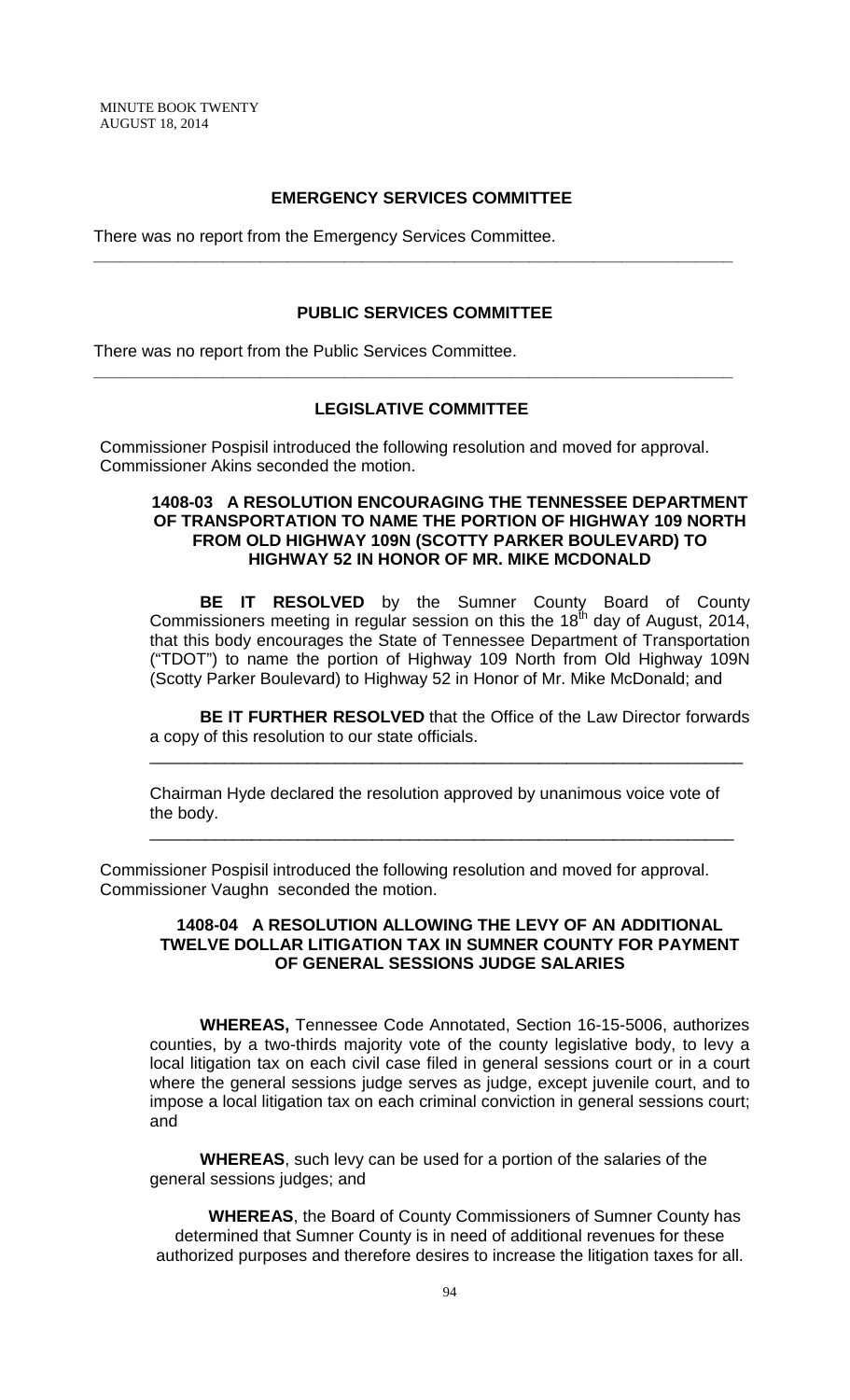# **EMERGENCY SERVICES COMMITTEE**

**\_\_\_\_\_\_\_\_\_\_\_\_\_\_\_\_\_\_\_\_\_\_\_\_\_\_\_\_\_\_\_\_\_\_\_\_\_\_\_\_\_\_\_\_\_\_\_\_\_\_\_\_\_\_\_\_\_\_\_\_\_\_\_\_\_\_\_\_\_**

There was no report from the Emergency Services Committee.

#### **PUBLIC SERVICES COMMITTEE**

There was no report from the Public Services Committee.

### **LEGISLATIVE COMMITTEE**

**\_\_\_\_\_\_\_\_\_\_\_\_\_\_\_\_\_\_\_\_\_\_\_\_\_\_\_\_\_\_\_\_\_\_\_\_\_\_\_\_\_\_\_\_\_\_\_\_\_\_\_\_\_\_\_\_\_\_\_\_\_\_\_\_\_\_\_\_\_**

Commissioner Pospisil introduced the following resolution and moved for approval. Commissioner Akins seconded the motion.

## **1408-03 A RESOLUTION ENCOURAGING THE TENNESSEE DEPARTMENT OF TRANSPORTATION TO NAME THE PORTION OF HIGHWAY 109 NORTH FROM OLD HIGHWAY 109N (SCOTTY PARKER BOULEVARD) TO HIGHWAY 52 IN HONOR OF MR. MIKE MCDONALD**

**BE IT RESOLVED** by the Sumner County Board of County Commissioners meeting in regular session on this the  $18<sup>th</sup>$  day of August, 2014, that this body encourages the State of Tennessee Department of Transportation ("TDOT") to name the portion of Highway 109 North from Old Highway 109N (Scotty Parker Boulevard) to Highway 52 in Honor of Mr. Mike McDonald; and

**BE IT FURTHER RESOLVED** that the Office of the Law Director forwards a copy of this resolution to our state officials.

\_\_\_\_\_\_\_\_\_\_\_\_\_\_\_\_\_\_\_\_\_\_\_\_\_\_\_\_\_\_\_\_\_\_\_\_\_\_\_\_\_\_\_\_\_\_\_\_\_\_\_\_\_\_\_\_\_\_\_\_\_\_\_\_

Chairman Hyde declared the resolution approved by unanimous voice vote of the body.

\_\_\_\_\_\_\_\_\_\_\_\_\_\_\_\_\_\_\_\_\_\_\_\_\_\_\_\_\_\_\_\_\_\_\_\_\_\_\_\_\_\_\_\_\_\_\_\_\_\_\_\_\_\_\_\_\_\_\_\_\_\_\_

Commissioner Pospisil introduced the following resolution and moved for approval. Commissioner Vaughn seconded the motion.

## **1408-04 A RESOLUTION ALLOWING THE LEVY OF AN ADDITIONAL TWELVE DOLLAR LITIGATION TAX IN SUMNER COUNTY FOR PAYMENT OF GENERAL SESSIONS JUDGE SALARIES**

**WHEREAS,** Tennessee Code Annotated, Section 16-15-5006, authorizes counties, by a two-thirds majority vote of the county legislative body, to levy a local litigation tax on each civil case filed in general sessions court or in a court where the general sessions judge serves as judge, except juvenile court, and to impose a local litigation tax on each criminal conviction in general sessions court; and

**WHEREAS**, such levy can be used for a portion of the salaries of the general sessions judges; and

**WHEREAS**, the Board of County Commissioners of Sumner County has determined that Sumner County is in need of additional revenues for these authorized purposes and therefore desires to increase the litigation taxes for all.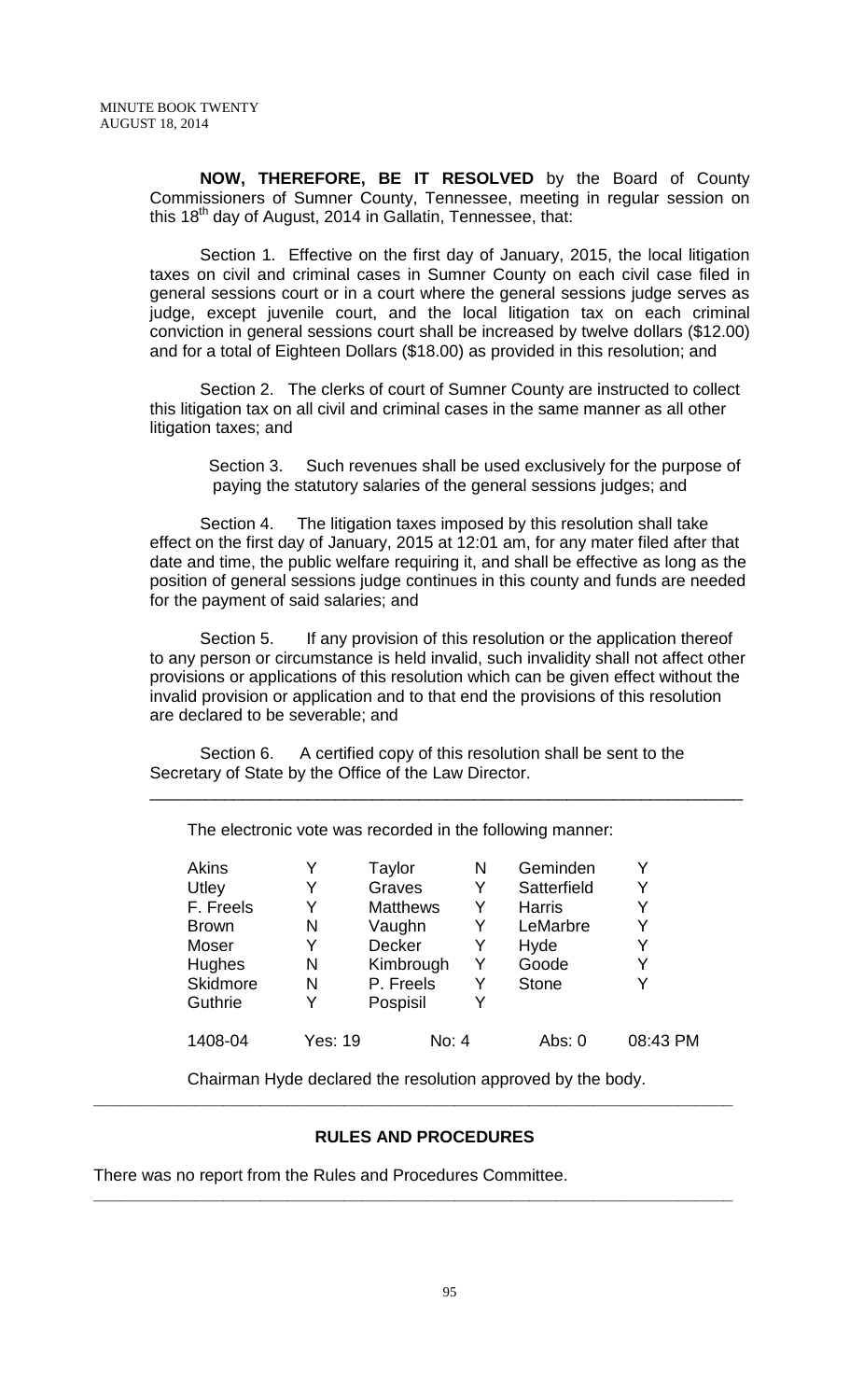**NOW, THEREFORE, BE IT RESOLVED** by the Board of County Commissioners of Sumner County, Tennessee, meeting in regular session on this 18<sup>th</sup> day of August, 2014 in Gallatin, Tennessee, that:

Section 1. Effective on the first day of January, 2015, the local litigation taxes on civil and criminal cases in Sumner County on each civil case filed in general sessions court or in a court where the general sessions judge serves as judge, except juvenile court, and the local litigation tax on each criminal conviction in general sessions court shall be increased by twelve dollars (\$12.00) and for a total of Eighteen Dollars (\$18.00) as provided in this resolution; and

Section 2. The clerks of court of Sumner County are instructed to collect this litigation tax on all civil and criminal cases in the same manner as all other litigation taxes; and

Section 3. Such revenues shall be used exclusively for the purpose of paying the statutory salaries of the general sessions judges; and

Section 4. The litigation taxes imposed by this resolution shall take effect on the first day of January, 2015 at 12:01 am, for any mater filed after that date and time, the public welfare requiring it, and shall be effective as long as the position of general sessions judge continues in this county and funds are needed for the payment of said salaries; and

Section 5. If any provision of this resolution or the application thereof to any person or circumstance is held invalid, such invalidity shall not affect other provisions or applications of this resolution which can be given effect without the invalid provision or application and to that end the provisions of this resolution are declared to be severable; and

\_\_\_\_\_\_\_\_\_\_\_\_\_\_\_\_\_\_\_\_\_\_\_\_\_\_\_\_\_\_\_\_\_\_\_\_\_\_\_\_\_\_\_\_\_\_\_\_\_\_\_\_\_\_\_\_\_\_\_\_\_\_\_\_

Section 6. A certified copy of this resolution shall be sent to the Secretary of State by the Office of the Law Director.

The electronic vote was recorded in the following manner:

| Akins         |                | Taylor          | Ν | Geminden      |          |
|---------------|----------------|-----------------|---|---------------|----------|
| Utley         | Y              | Graves          | Y | Satterfield   | Y        |
| F. Freels     | Y              | <b>Matthews</b> | Y | <b>Harris</b> | Y        |
| <b>Brown</b>  | N              | Vaughn          | Y | LeMarbre      | Y        |
| Moser         | Y              | <b>Decker</b>   | Y | Hyde          | Y        |
| <b>Hughes</b> | N              | Kimbrough       | Y | Goode         | Y        |
| Skidmore      | N              | P. Freels       | Y | <b>Stone</b>  | Y        |
| Guthrie       | Y              | Pospisil        |   |               |          |
| 1408-04       | <b>Yes: 19</b> | No: 4           |   | Abs: 0        | 08:43 PM |
|               |                |                 |   |               |          |

Chairman Hyde declared the resolution approved by the body. **\_\_\_\_\_\_\_\_\_\_\_\_\_\_\_\_\_\_\_\_\_\_\_\_\_\_\_\_\_\_\_\_\_\_\_\_\_\_\_\_\_\_\_\_\_\_\_\_\_\_\_\_\_\_\_\_\_\_\_\_\_\_\_\_\_\_\_\_\_**

### **RULES AND PROCEDURES**

**\_\_\_\_\_\_\_\_\_\_\_\_\_\_\_\_\_\_\_\_\_\_\_\_\_\_\_\_\_\_\_\_\_\_\_\_\_\_\_\_\_\_\_\_\_\_\_\_\_\_\_\_\_\_\_\_\_\_\_\_\_\_\_\_\_\_\_\_\_**

There was no report from the Rules and Procedures Committee.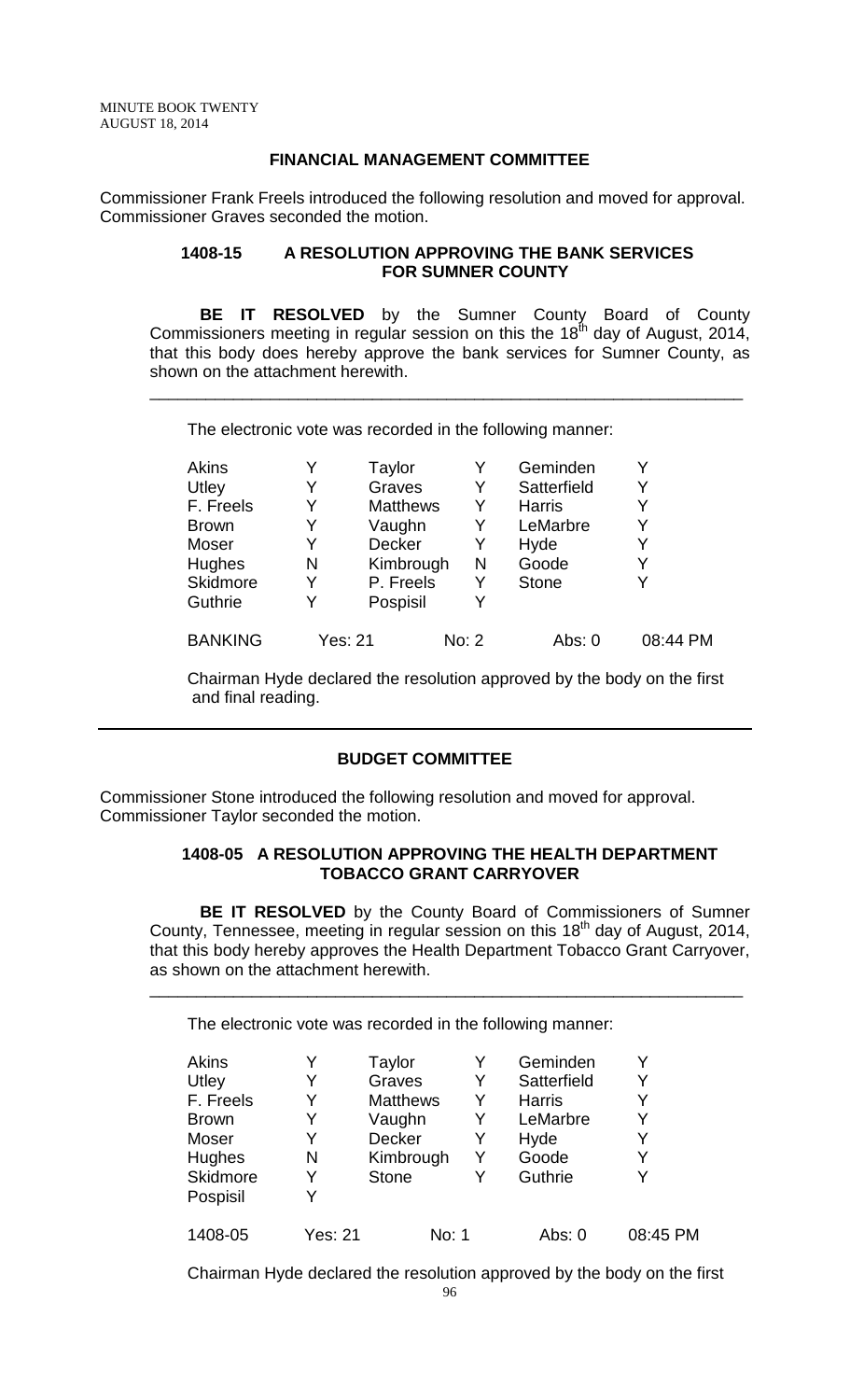## **FINANCIAL MANAGEMENT COMMITTEE**

Commissioner Frank Freels introduced the following resolution and moved for approval. Commissioner Graves seconded the motion.

#### **1408-15 A RESOLUTION APPROVING THE BANK SERVICES FOR SUMNER COUNTY**

**BE IT RESOLVED** by the Sumner County Board of County Commissioners meeting in regular session on this the 18<sup>th</sup> day of August, 2014, that this body does hereby approve the bank services for Sumner County, as shown on the attachment herewith.

\_\_\_\_\_\_\_\_\_\_\_\_\_\_\_\_\_\_\_\_\_\_\_\_\_\_\_\_\_\_\_\_\_\_\_\_\_\_\_\_\_\_\_\_\_\_\_\_\_\_\_\_\_\_\_\_\_\_\_\_\_\_\_\_

The electronic vote was recorded in the following manner:

| Akins          |   | Taylor          | Y     | Geminden      |          |
|----------------|---|-----------------|-------|---------------|----------|
| Utley          | Y | Graves          | Y     | Satterfield   | Y        |
| F. Freels      | Y | <b>Matthews</b> | Y     | <b>Harris</b> |          |
| <b>Brown</b>   | Y | Vaughn          | Y     | LeMarbre      |          |
| Moser          | Y | <b>Decker</b>   | Y     | Hyde          | Y        |
| <b>Hughes</b>  | N | Kimbrough       | N     | Goode         | Y        |
| Skidmore       | Y | P. Freels       | Y     | <b>Stone</b>  |          |
| Guthrie        | Y | Pospisil        | Y     |               |          |
| <b>BANKING</b> |   | Yes: 21         | No: 2 | Abs: 0        | 08:44 PM |

Chairman Hyde declared the resolution approved by the body on the first and final reading.

## **BUDGET COMMITTEE**

Commissioner Stone introduced the following resolution and moved for approval. Commissioner Taylor seconded the motion.

#### **1408-05 A RESOLUTION APPROVING THE HEALTH DEPARTMENT TOBACCO GRANT CARRYOVER**

**BE IT RESOLVED** by the County Board of Commissioners of Sumner County, Tennessee, meeting in regular session on this 18<sup>th</sup> day of August, 2014, that this body hereby approves the Health Department Tobacco Grant Carryover, as shown on the attachment herewith.

\_\_\_\_\_\_\_\_\_\_\_\_\_\_\_\_\_\_\_\_\_\_\_\_\_\_\_\_\_\_\_\_\_\_\_\_\_\_\_\_\_\_\_\_\_\_\_\_\_\_\_\_\_\_\_\_\_\_\_\_\_\_\_\_

The electronic vote was recorded in the following manner:

| <b>Akins</b>    |                | Taylor          |   | Geminden      |          |
|-----------------|----------------|-----------------|---|---------------|----------|
| Utley           | Y              | Graves          | Y | Satterfield   | Y        |
| F. Freels       | Y              | <b>Matthews</b> | Y | <b>Harris</b> | Y        |
| <b>Brown</b>    | Y              | Vaughn          | Y | LeMarbre      | Y        |
| Moser           | Y              | Decker          | Y | Hyde          | Y        |
| Hughes          | N              | Kimbrough       | Y | Goode         | Y        |
| <b>Skidmore</b> | Y              | <b>Stone</b>    | Y | Guthrie       | Y        |
| Pospisil        | Y              |                 |   |               |          |
| 1408-05         | <b>Yes: 21</b> | No: 1           |   | Abs: 0        | 08:45 PM |

Chairman Hyde declared the resolution approved by the body on the first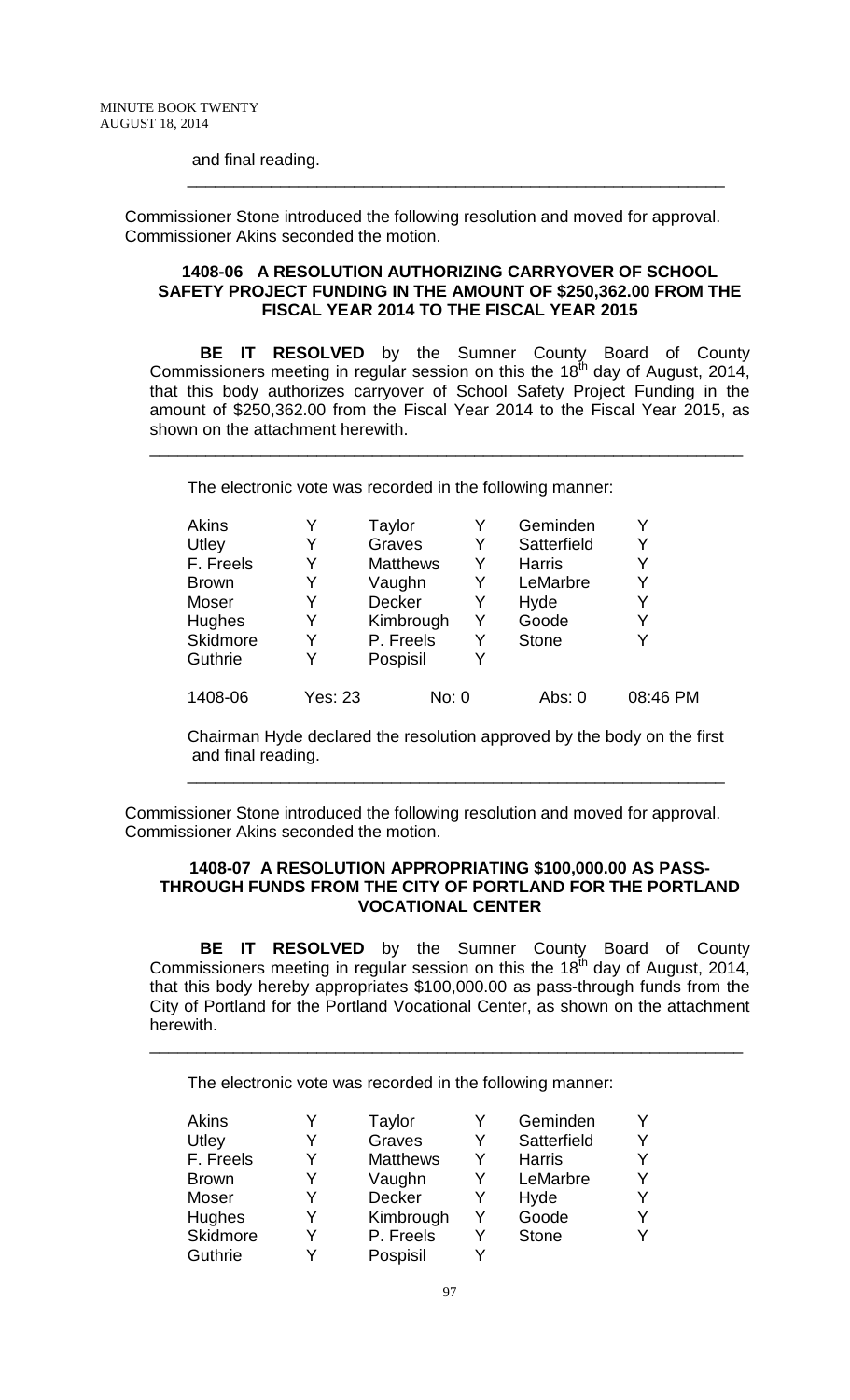#### and final reading.

Commissioner Stone introduced the following resolution and moved for approval. Commissioner Akins seconded the motion.

#### **1408-06 A RESOLUTION AUTHORIZING CARRYOVER OF SCHOOL SAFETY PROJECT FUNDING IN THE AMOUNT OF \$250,362.00 FROM THE FISCAL YEAR 2014 TO THE FISCAL YEAR 2015**

\_\_\_\_\_\_\_\_\_\_\_\_\_\_\_\_\_\_\_\_\_\_\_\_\_\_\_\_\_\_\_\_\_\_\_\_\_\_\_\_\_\_\_\_\_\_\_\_\_\_\_\_\_\_\_\_\_\_

**BE IT RESOLVED** by the Sumner County Board of County Commissioners meeting in regular session on this the  $18<sup>th</sup>$  day of August, 2014, that this body authorizes carryover of School Safety Project Funding in the amount of \$250,362.00 from the Fiscal Year 2014 to the Fiscal Year 2015, as shown on the attachment herewith.

\_\_\_\_\_\_\_\_\_\_\_\_\_\_\_\_\_\_\_\_\_\_\_\_\_\_\_\_\_\_\_\_\_\_\_\_\_\_\_\_\_\_\_\_\_\_\_\_\_\_\_\_\_\_\_\_\_\_\_\_\_\_\_\_

The electronic vote was recorded in the following manner:

| <b>Akins</b>  |                | Taylor          |   | Geminden      |          |
|---------------|----------------|-----------------|---|---------------|----------|
| Utley         | Y              | Graves          | Y | Satterfield   | Y        |
| F. Freels     | Y              | <b>Matthews</b> | Y | <b>Harris</b> | Y        |
| <b>Brown</b>  | Y              | Vaughn          | Y | LeMarbre      | Y        |
| Moser         | Y              | Decker          | Y | Hyde          | Y        |
| <b>Hughes</b> | Y              | Kimbrough       | Y | Goode         | Y        |
| Skidmore      | Y              | P. Freels       | Y | <b>Stone</b>  |          |
| Guthrie       | Y              | Pospisil        |   |               |          |
| 1408-06       | <b>Yes: 23</b> | No: 0           |   | Abs: 0        | 08:46 PM |

Chairman Hyde declared the resolution approved by the body on the first and final reading.

\_\_\_\_\_\_\_\_\_\_\_\_\_\_\_\_\_\_\_\_\_\_\_\_\_\_\_\_\_\_\_\_\_\_\_\_\_\_\_\_\_\_\_\_\_\_\_\_\_\_\_\_\_\_\_\_\_\_

Commissioner Stone introduced the following resolution and moved for approval. Commissioner Akins seconded the motion.

### **1408-07 A RESOLUTION APPROPRIATING \$100,000.00 AS PASS-THROUGH FUNDS FROM THE CITY OF PORTLAND FOR THE PORTLAND VOCATIONAL CENTER**

**BE IT RESOLVED** by the Sumner County Board of County Commissioners meeting in regular session on this the  $18<sup>th</sup>$  day of August, 2014, that this body hereby appropriates \$100,000.00 as pass-through funds from the City of Portland for the Portland Vocational Center, as shown on the attachment herewith.

\_\_\_\_\_\_\_\_\_\_\_\_\_\_\_\_\_\_\_\_\_\_\_\_\_\_\_\_\_\_\_\_\_\_\_\_\_\_\_\_\_\_\_\_\_\_\_\_\_\_\_\_\_\_\_\_\_\_\_\_\_\_\_\_

The electronic vote was recorded in the following manner:

| Akins           |   | Taylor          |   | Geminden      | Y |
|-----------------|---|-----------------|---|---------------|---|
| Utley           | Y | Graves          | Y | Satterfield   | Y |
| F. Freels       | Y | <b>Matthews</b> | Y | <b>Harris</b> | Y |
| <b>Brown</b>    | Y | Vaughn          | Y | LeMarbre      | Y |
| Moser           | Y | <b>Decker</b>   | Y | Hyde          | Y |
| <b>Hughes</b>   | Y | Kimbrough       | Y | Goode         | Y |
| <b>Skidmore</b> | Y | P. Freels       | Y | <b>Stone</b>  | Y |
| Guthrie         | v | Pospisil        | v |               |   |
|                 |   |                 |   |               |   |